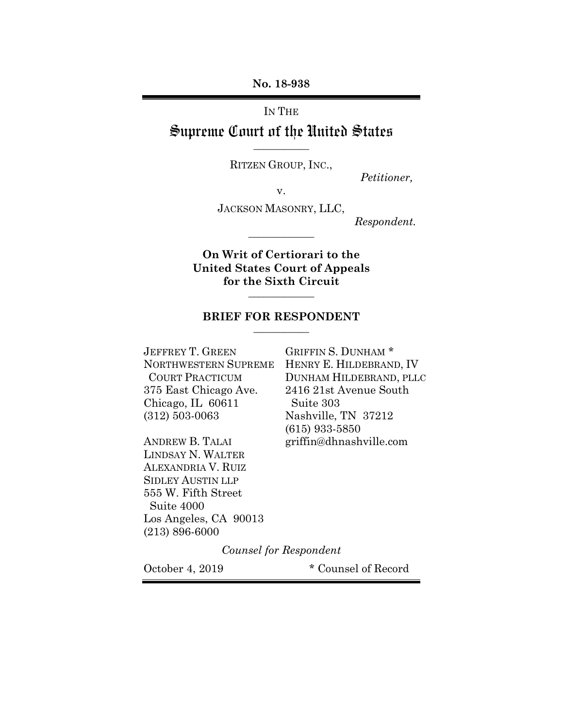**No. 18-938**

IN THE

# Supreme Court of the United States **\_\_\_\_\_\_\_\_\_\_\_**

RITZEN GROUP, INC.,

 *Petitioner,* 

v.

JACKSON MASONRY, LLC,

**\_\_\_\_\_\_\_\_\_\_\_\_\_** 

 *Respondent.*

**On Writ of Certiorari to the United States Court of Appeals for the Sixth Circuit**

**\_\_\_\_\_\_\_\_\_\_\_\_\_** 

#### **BRIEF FOR RESPONDENT \_\_\_\_\_\_\_\_\_\_\_**

JEFFREY T. GREEN GRIFFIN S. DUNHAM \* 375 East Chicago Ave. 2416 21st Avenue South Chicago, IL 60611 Suite 303 (312) 503-0063 Nashville, TN 37212

LINDSAY N. WALTER ALEXANDRIA V. RUIZ SIDLEY AUSTIN LLP 555 W. Fifth Street Suite 4000 Los Angeles, CA 90013 (213) 896-6000

NORTHWESTERN SUPREME HENRY E. HILDEBRAND, IV COURT PRACTICUM DUNHAM HILDEBRAND, PLLC (615) 933-5850 ANDREW B. TALAI griffin@dhnashville.com

*Counsel for Respondent*

October 4, 2019 \* Counsel of Record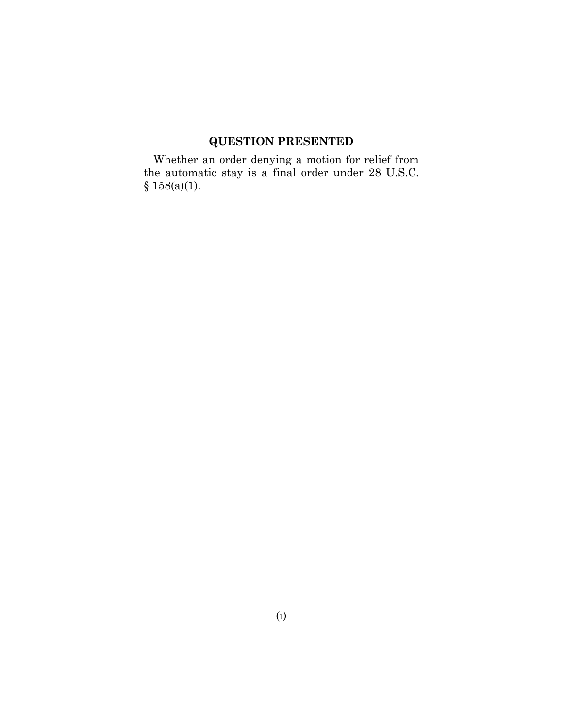# **QUESTION PRESENTED**

Whether an order denying a motion for relief from the automatic stay is a final order under 28 U.S.C.  $§ 158(a)(1).$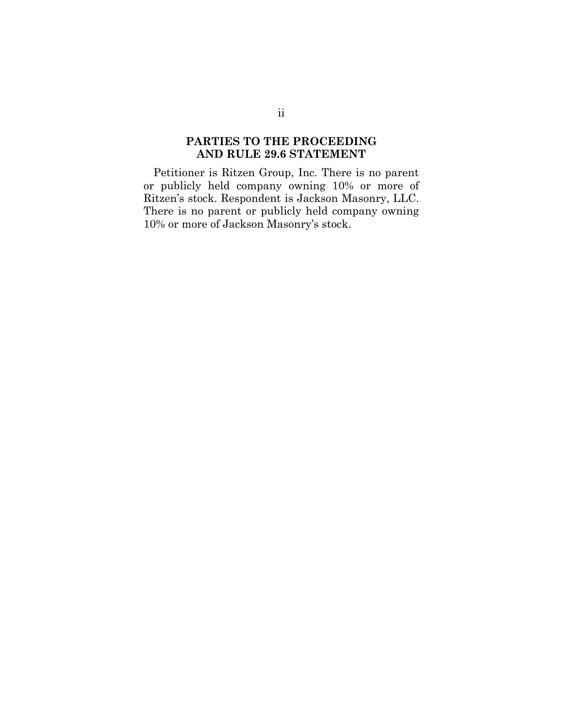# **PARTIES TO THE PROCEEDING AND RULE 29.6 STATEMENT**

Petitioner is Ritzen Group, Inc. There is no parent or publicly held company owning 10% or more of Ritzen's stock. Respondent is Jackson Masonry, LLC. There is no parent or publicly held company owning 10% or more of Jackson Masonry's stock.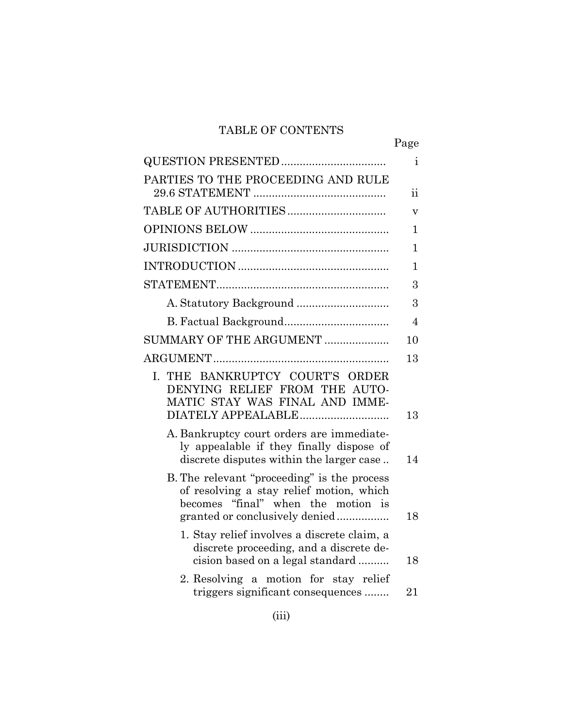# TABLE OF CONTENTS

|                                                                                                                                                                 | Page                     |
|-----------------------------------------------------------------------------------------------------------------------------------------------------------------|--------------------------|
| QUESTION PRESENTED                                                                                                                                              | i.                       |
| PARTIES TO THE PROCEEDING AND RULE                                                                                                                              | $\overline{\mathbf{ii}}$ |
|                                                                                                                                                                 | $\overline{\mathsf{V}}$  |
|                                                                                                                                                                 | 1                        |
|                                                                                                                                                                 | 1                        |
|                                                                                                                                                                 | $\mathbf 1$              |
|                                                                                                                                                                 | 3                        |
|                                                                                                                                                                 | 3                        |
|                                                                                                                                                                 | $\overline{4}$           |
| SUMMARY OF THE ARGUMENT                                                                                                                                         | 10                       |
|                                                                                                                                                                 | 13                       |
| THE BANKRUPTCY COURT'S ORDER<br>L.<br>DENYING RELIEF FROM THE AUTO-<br>MATIC STAY WAS FINAL AND IMME-<br>DIATELY APPEALABLE                                     | 13                       |
| A. Bankruptcy court orders are immediate-<br>ly appealable if they finally dispose of<br>discrete disputes within the larger case                               | 14                       |
| B. The relevant "proceeding" is the process<br>of resolving a stay relief motion, which<br>becomes "final" when the motion is<br>granted or conclusively denied | 18                       |
| 1. Stay relief involves a discrete claim, a<br>discrete proceeding, and a discrete de-<br>cision based on a legal standard                                      | 18                       |
| 2. Resolving a motion for stay relief<br>triggers significant consequences                                                                                      | 21                       |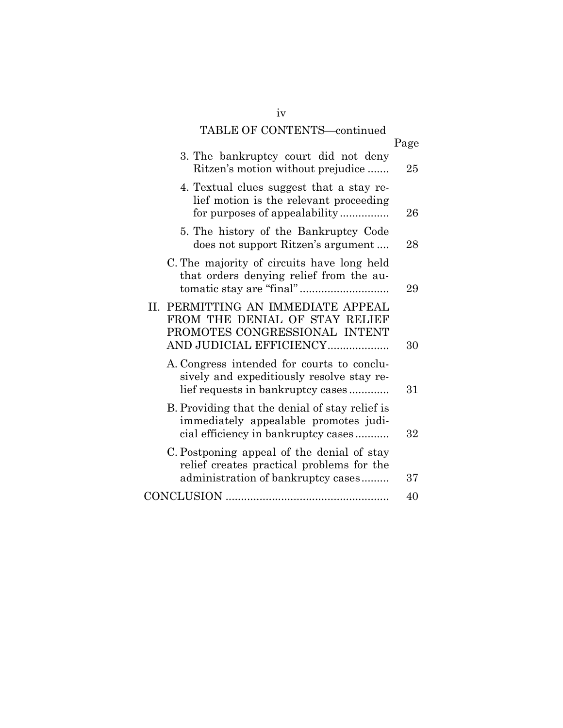# TABLE OF CONTENTS—continued

|                                                                                                                                  | Page |
|----------------------------------------------------------------------------------------------------------------------------------|------|
| 3. The bankruptcy court did not deny<br>Ritzen's motion without prejudice                                                        | 25   |
| 4. Textual clues suggest that a stay re-<br>lief motion is the relevant proceeding<br>for purposes of appealability              | 26   |
| 5. The history of the Bankruptcy Code<br>does not support Ritzen's argument                                                      | 28   |
| C. The majority of circuits have long held<br>that orders denying relief from the au-                                            | 29   |
| II. PERMITTING AN IMMEDIATE APPEAL<br>FROM THE DENIAL OF STAY RELIEF<br>PROMOTES CONGRESSIONAL INTENT<br>AND JUDICIAL EFFICIENCY | 30   |
| A. Congress intended for courts to conclu-<br>sively and expeditiously resolve stay re-<br>lief requests in bankruptcy cases     | 31   |
| B. Providing that the denial of stay relief is<br>immediately appealable promotes judi-<br>cial efficiency in bankruptcy cases   | 32   |
| C. Postponing appeal of the denial of stay<br>relief creates practical problems for the<br>administration of bankruptcy cases    | 37   |
|                                                                                                                                  | 40   |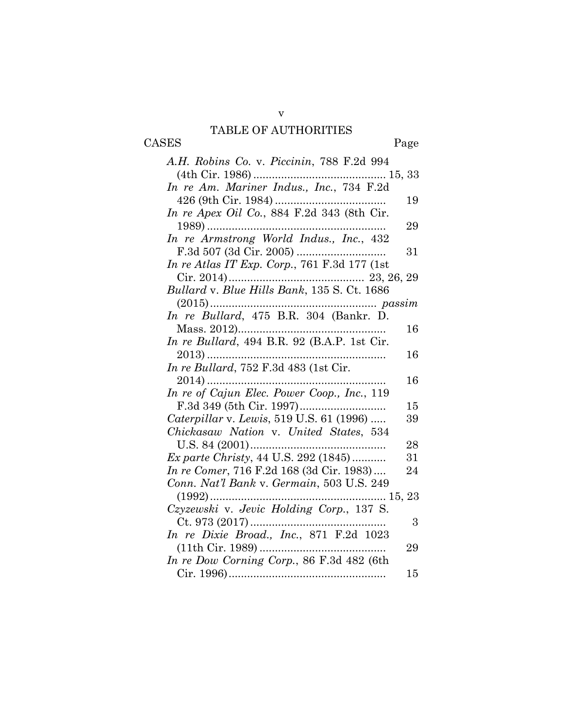# TABLE OF AUTHORITIES CASES Page

| A.H. Robins Co. v. Piccinin, 788 F.2d 994    |    |
|----------------------------------------------|----|
|                                              |    |
|                                              |    |
|                                              | 19 |
| In re Apex Oil Co., 884 F.2d 343 (8th Cir.   |    |
|                                              | 29 |
| In re Armstrong World Indus., Inc., 432      |    |
|                                              | 31 |
| In re Atlas IT Exp. Corp., 761 F.3d 177 (1st |    |
|                                              |    |
|                                              |    |
|                                              |    |
| In re Bullard, 475 B.R. 304 (Bankr. D.       |    |
|                                              | 16 |
| In re Bullard, 494 B.R. 92 (B.A.P. 1st Cir.  |    |
|                                              | 16 |
| In re Bullard, 752 F.3d 483 (1st Cir.        |    |
|                                              | 16 |
| In re of Cajun Elec. Power Coop., Inc., 119  |    |
|                                              | 15 |
| Caterpillar v. Lewis, 519 U.S. 61 (1996)     | 39 |
| Chickasaw Nation v. United States, 534       |    |
|                                              | 28 |
| Ex parte Christy, 44 U.S. 292 (1845)         | 31 |
| In re Comer, 716 F.2d 168 (3d Cir. 1983)     | 24 |
| Conn. Nat'l Bank v. Germain, 503 U.S. 249    |    |
|                                              |    |
| Czyzewski v. Jevic Holding Corp., 137 S.     |    |
| $Ct. 973 (2017)$                             | 3  |
| In re Dixie Broad., Inc., 871 F.2d 1023      |    |
|                                              | 29 |
| In re Dow Corning Corp., 86 F.3d 482 (6th    |    |
|                                              | 15 |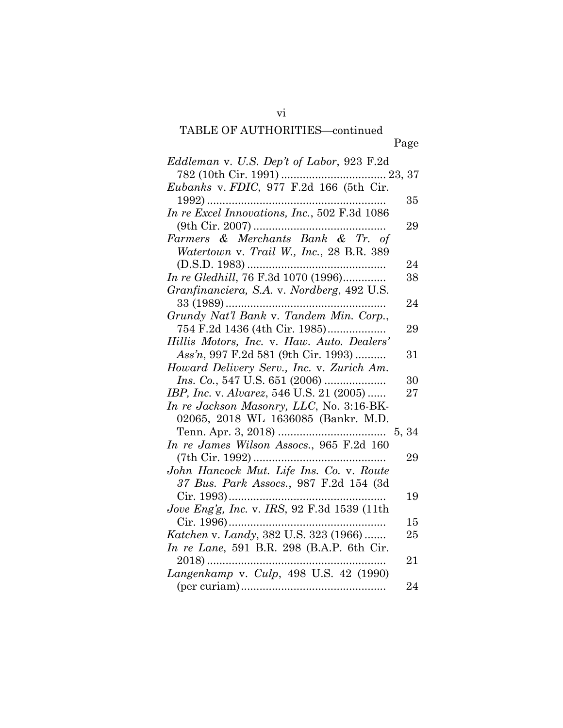# TABLE OF AUTHORITIES-continued

vi

| Eddleman v. U.S. Dep't of Labor, 923 F.2d    |       |
|----------------------------------------------|-------|
|                                              |       |
| Eubanks v. FDIC, 977 F.2d 166 (5th Cir.      |       |
|                                              | 35    |
| In re Excel Innovations, Inc., 502 F.3d 1086 |       |
|                                              | 29    |
| Farmers & Merchants Bank & Tr. of            |       |
| Watertown v. Trail W., Inc., 28 B.R. 389     |       |
|                                              | 24    |
| In re Gledhill, 76 F.3d 1070 (1996)          | 38    |
| Granfinanciera, S.A. v. Nordberg, 492 U.S.   |       |
| 33 (1989)                                    | 24    |
| Grundy Nat'l Bank v. Tandem Min. Corp.,      |       |
| 754 F.2d 1436 (4th Cir. 1985)                | 29    |
| Hillis Motors, Inc. v. Haw. Auto. Dealers'   |       |
| Ass'n, 997 F.2d 581 (9th Cir. 1993)          | 31    |
| Howard Delivery Serv., Inc. v. Zurich Am.    |       |
|                                              | 30    |
| IBP, Inc. v. Alvarez, 546 U.S. 21 (2005)     | 27    |
| In re Jackson Masonry, LLC, No. 3:16-BK-     |       |
| 02065, 2018 WL 1636085 (Bankr. M.D.          |       |
|                                              | 5, 34 |
| In re James Wilson Assocs., 965 F.2d 160     |       |
|                                              | 29    |
| John Hancock Mut. Life Ins. Co. v. Route     |       |
| 37 Bus. Park Assocs., 987 F.2d 154 (3d       |       |
|                                              | 19    |
| Jove Eng'g, Inc. v. IRS, 92 F.3d 1539 (11th  |       |
| Cir. 1996)                                   | 15    |
| Katchen v. Landy, 382 U.S. 323 (1966)        | 25    |
| In re Lane, 591 B.R. 298 (B.A.P. 6th Cir.    |       |
| $2018)$                                      | 21    |
| Langenkamp v. Culp, 498 U.S. 42 (1990)       |       |
|                                              | 24    |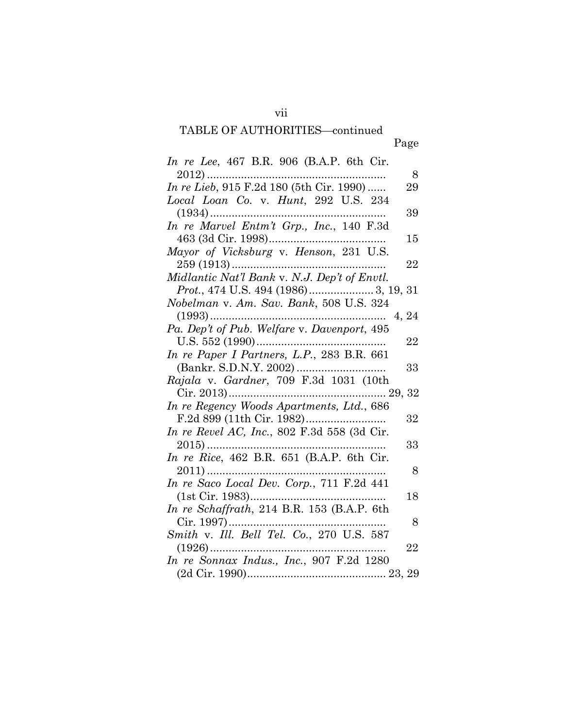# TABLE OF AUTHORITIES-continued

| <i>In re Lee</i> , 467 B.R. 906 (B.A.P. 6th Cir. |    |
|--------------------------------------------------|----|
| $2012)$                                          | 8  |
| In re Lieb, 915 F.2d 180 (5th Cir. 1990)         | 29 |
| Local Loan Co. v. Hunt, 292 U.S. 234             |    |
|                                                  | 39 |
| In re Marvel Entm't Grp., Inc., 140 F.3d         |    |
|                                                  | 15 |
| Mayor of Vicksburg v. Henson, 231 U.S.           |    |
|                                                  | 22 |
| Midlantic Nat'l Bank v. N.J. Dep't of Envtl.     |    |
| Prot., 474 U.S. 494 (1986) 3, 19, 31             |    |
| Nobelman v. Am. Sav. Bank, 508 U.S. 324          |    |
|                                                  |    |
| Pa. Dep't of Pub. Welfare v. Davenport, 495      |    |
|                                                  | 22 |
| In re Paper I Partners, L.P., 283 B.R. 661       |    |
|                                                  | 33 |
| Rajala v. Gardner, 709 F.3d 1031 (10th           |    |
|                                                  |    |
| In re Regency Woods Apartments, Ltd., 686        |    |
|                                                  | 32 |
| In re Revel AC, Inc., 802 F.3d 558 (3d Cir.      |    |
|                                                  | 33 |
| In re Rice, 462 B.R. 651 (B.A.P. 6th Cir.        |    |
|                                                  | 8  |
| In re Saco Local Dev. Corp., 711 F.2d 441        |    |
|                                                  | 18 |
| In re Schaffrath, 214 B.R. 153 (B.A.P. 6th       |    |
| $Cir. 1997)$                                     | 8  |
| Smith v. Ill. Bell Tel. Co., 270 U.S. 587        |    |
|                                                  | 22 |
| In re Sonnax Indus., Inc., 907 F.2d 1280         |    |
|                                                  |    |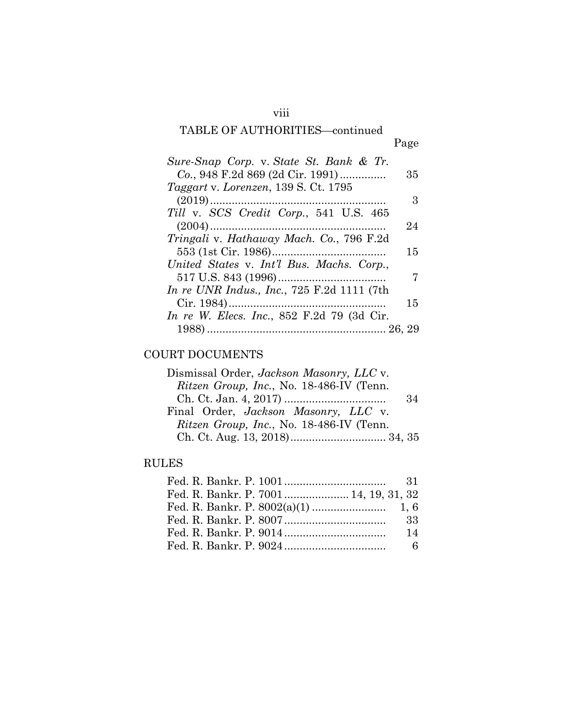# TABLE OF AUTHORITIES—continued

viii

| Sure-Snap Corp. v. State St. Bank & Tr.                 |    |
|---------------------------------------------------------|----|
| Co., 948 F.2d 869 (2d Cir. 1991)                        | 35 |
| Taggart v. Lorenzen, 139 S. Ct. 1795                    |    |
|                                                         | З  |
| Till v. SCS Credit Corp., 541 U.S. 465                  |    |
|                                                         | 24 |
| <i>Tringali</i> v. <i>Hathaway Mach. Co.</i> , 796 F.2d |    |
|                                                         | 15 |
| United States v. Int'l Bus. Machs. Corp.,               |    |
|                                                         | 7  |
| <i>In re UNR Indus., Inc., 725 F.2d 1111 (7th</i>       |    |
|                                                         | 15 |
| <i>In re W. Elecs. Inc.</i> , 852 F.2d 79 (3d Cir.      |    |
|                                                         |    |

# COURT DOCUMENTS

| Dismissal Order, <i>Jackson Masonry</i> , <i>LLC</i> v. |    |
|---------------------------------------------------------|----|
| Ritzen Group, Inc., No. 18-486-IV (Tenn.                |    |
|                                                         | 34 |
| Final Order, <i>Jackson Masonry</i> , LLC v.            |    |
| Ritzen Group, Inc., No. 18-486-IV (Tenn.                |    |
|                                                         |    |

# RULES

| Fed. R. Bankr. P. 7001 14, 19, 31, 32 |
|---------------------------------------|
|                                       |
|                                       |
| 14                                    |
|                                       |
|                                       |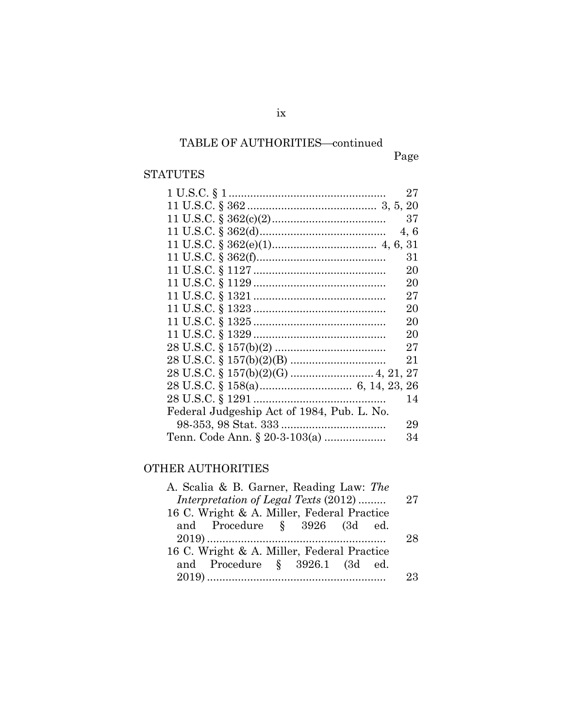# TABLE OF AUTHORITIES-continued

Page

# STATUTES

|                                            | 27   |
|--------------------------------------------|------|
|                                            |      |
|                                            | 37   |
|                                            | 4, 6 |
|                                            |      |
|                                            | 31   |
|                                            | 20   |
|                                            | 20   |
|                                            | 27   |
|                                            | 20   |
|                                            | 20   |
|                                            | 20   |
|                                            | 27   |
|                                            | 21   |
|                                            |      |
|                                            |      |
|                                            | 14   |
| Federal Judgeship Act of 1984, Pub. L. No. |      |
|                                            | 29   |
| Tenn. Code Ann. § 20-3-103(a)              | 34   |

# OTHER AUTHORITIES

| A. Scalia & B. Garner, Reading Law: The    |    |
|--------------------------------------------|----|
| Interpretation of Legal Texts (2012)       | 27 |
| 16 C. Wright & A. Miller, Federal Practice |    |
| and Procedure § 3926 (3d ed.               |    |
|                                            | 28 |
| 16 C. Wright & A. Miller, Federal Practice |    |
| and Procedure § 3926.1 (3d ed.             |    |
|                                            | 23 |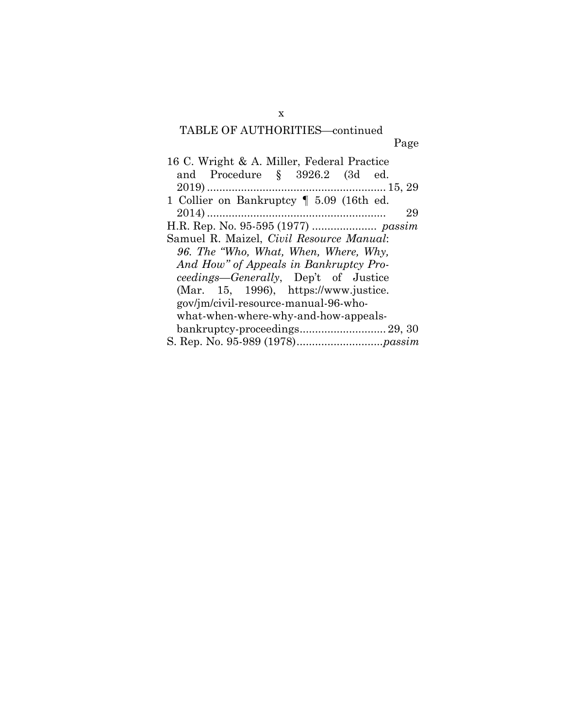# TABLE OF AUTHORITIES-continued  $\overline{p}$

| о<br>۰.<br>., |
|---------------|
|               |

| 16 C. Wright & A. Miller, Federal Practice   |
|----------------------------------------------|
| and Procedure § 3926.2 (3d ed.               |
|                                              |
| 1 Collier on Bankruptcy 1 5.09 (16th ed.     |
| 29                                           |
|                                              |
| Samuel R. Maizel, Civil Resource Manual:     |
| 96. The "Who, What, When, Where, Why,        |
| And How" of Appeals in Bankruptcy Pro-       |
| <i>ceedings—Generally</i> , Dep't of Justice |
| (Mar. 15, 1996), $https://www.justice.$      |
| gov/jm/civil-resource-manual-96-who-         |
| what-when-where-why-and-how-appeals-         |
|                                              |
|                                              |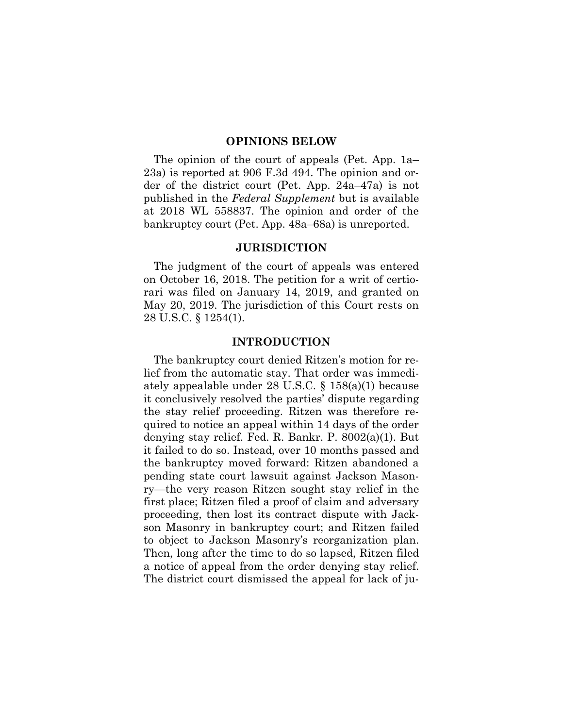#### **OPINIONS BELOW**

The opinion of the court of appeals (Pet. App. 1a– 23a) is reported at 906 F.3d 494. The opinion and order of the district court (Pet. App. 24a–47a) is not published in the *Federal Supplement* but is available at 2018 WL 558837. The opinion and order of the bankruptcy court (Pet. App. 48a–68a) is unreported.

## **JURISDICTION**

The judgment of the court of appeals was entered on October 16, 2018. The petition for a writ of certiorari was filed on January 14, 2019, and granted on May 20, 2019. The jurisdiction of this Court rests on 28 U.S.C. § 1254(1).

#### **INTRODUCTION**

The bankruptcy court denied Ritzen's motion for relief from the automatic stay. That order was immediately appealable under 28 U.S.C. § 158(a)(1) because it conclusively resolved the parties' dispute regarding the stay relief proceeding. Ritzen was therefore required to notice an appeal within 14 days of the order denying stay relief. Fed. R. Bankr. P. 8002(a)(1). But it failed to do so. Instead, over 10 months passed and the bankruptcy moved forward: Ritzen abandoned a pending state court lawsuit against Jackson Masonry—the very reason Ritzen sought stay relief in the first place; Ritzen filed a proof of claim and adversary proceeding, then lost its contract dispute with Jackson Masonry in bankruptcy court; and Ritzen failed to object to Jackson Masonry's reorganization plan. Then, long after the time to do so lapsed, Ritzen filed a notice of appeal from the order denying stay relief. The district court dismissed the appeal for lack of ju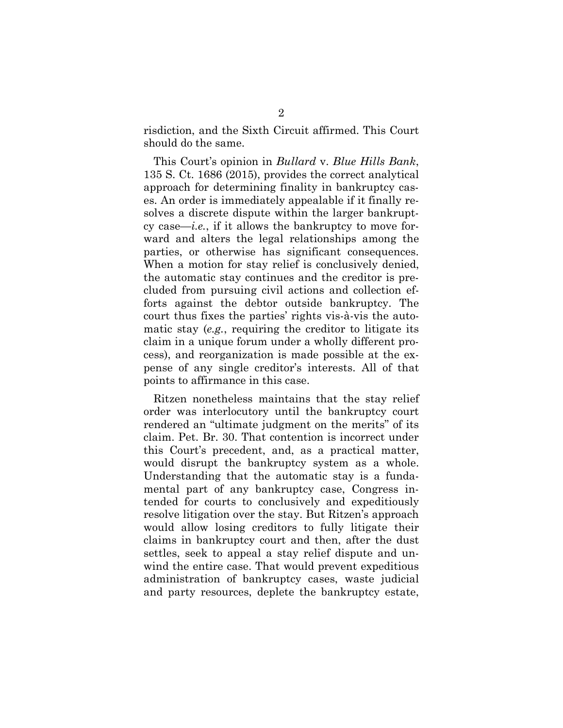risdiction, and the Sixth Circuit affirmed. This Court should do the same.

This Court's opinion in *Bullard* v. *Blue Hills Bank*, 135 S. Ct. 1686 (2015), provides the correct analytical approach for determining finality in bankruptcy cases. An order is immediately appealable if it finally resolves a discrete dispute within the larger bankruptcy case—*i.e.*, if it allows the bankruptcy to move forward and alters the legal relationships among the parties, or otherwise has significant consequences. When a motion for stay relief is conclusively denied, the automatic stay continues and the creditor is precluded from pursuing civil actions and collection efforts against the debtor outside bankruptcy. The court thus fixes the parties' rights vis-à-vis the automatic stay (*e.g.*, requiring the creditor to litigate its claim in a unique forum under a wholly different process), and reorganization is made possible at the expense of any single creditor's interests. All of that points to affirmance in this case.

Ritzen nonetheless maintains that the stay relief order was interlocutory until the bankruptcy court rendered an "ultimate judgment on the merits" of its claim. Pet. Br. 30. That contention is incorrect under this Court's precedent, and, as a practical matter, would disrupt the bankruptcy system as a whole. Understanding that the automatic stay is a fundamental part of any bankruptcy case, Congress intended for courts to conclusively and expeditiously resolve litigation over the stay. But Ritzen's approach would allow losing creditors to fully litigate their claims in bankruptcy court and then, after the dust settles, seek to appeal a stay relief dispute and unwind the entire case. That would prevent expeditious administration of bankruptcy cases, waste judicial and party resources, deplete the bankruptcy estate,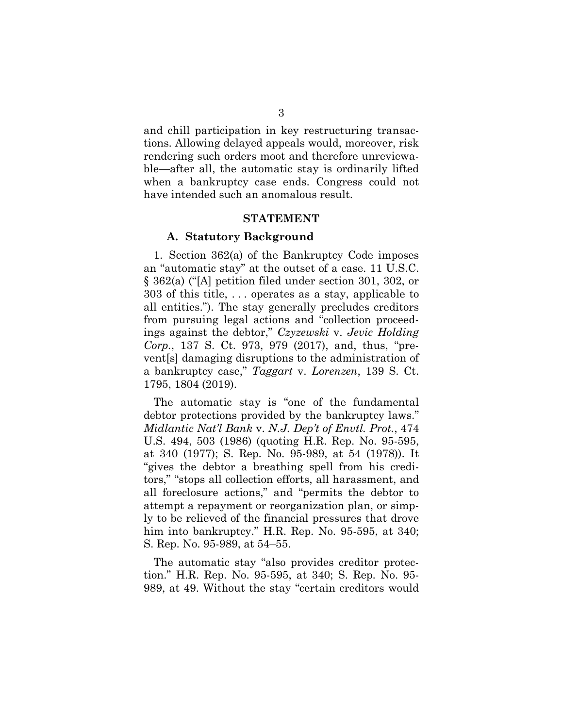and chill participation in key restructuring transactions. Allowing delayed appeals would, moreover, risk rendering such orders moot and therefore unreviewable—after all, the automatic stay is ordinarily lifted when a bankruptcy case ends. Congress could not have intended such an anomalous result.

#### **STATEMENT**

#### **A. Statutory Background**

1. Section 362(a) of the Bankruptcy Code imposes an "automatic stay" at the outset of a case. 11 U.S.C. § 362(a) ("[A] petition filed under section 301, 302, or 303 of this title, . . . operates as a stay, applicable to all entities."). The stay generally precludes creditors from pursuing legal actions and "collection proceedings against the debtor," *Czyzewski* v. *Jevic Holding Corp.*, 137 S. Ct. 973, 979 (2017), and, thus, "prevent[s] damaging disruptions to the administration of a bankruptcy case," *Taggart* v. *Lorenzen*, 139 S. Ct. 1795, 1804 (2019).

The automatic stay is "one of the fundamental debtor protections provided by the bankruptcy laws." *Midlantic Nat'l Bank* v. *N.J. Dep't of Envtl. Prot.*, 474 U.S. 494, 503 (1986) (quoting H.R. Rep. No. 95-595, at 340 (1977); S. Rep. No. 95-989, at 54 (1978)). It "gives the debtor a breathing spell from his creditors," "stops all collection efforts, all harassment, and all foreclosure actions," and "permits the debtor to attempt a repayment or reorganization plan, or simply to be relieved of the financial pressures that drove him into bankruptcy." H.R. Rep. No. 95-595, at 340; S. Rep. No. 95-989, at 54–55.

The automatic stay "also provides creditor protection." H.R. Rep. No. 95-595, at 340; S. Rep. No. 95- 989, at 49. Without the stay "certain creditors would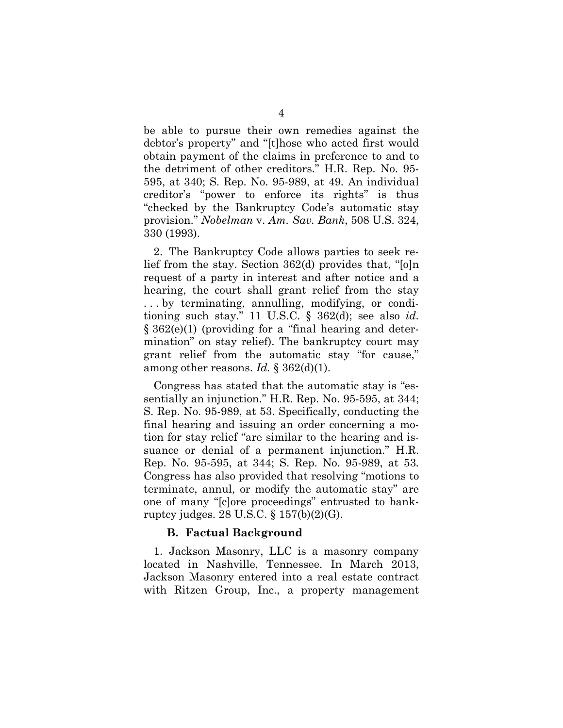be able to pursue their own remedies against the debtor's property" and "[t]hose who acted first would obtain payment of the claims in preference to and to the detriment of other creditors." H.R. Rep. No. 95- 595, at 340; S. Rep. No. 95-989, at 49*.* An individual creditor's "power to enforce its rights" is thus "checked by the Bankruptcy Code's automatic stay provision." *Nobelman* v. *Am. Sav. Bank*, 508 U.S. 324, 330 (1993).

2. The Bankruptcy Code allows parties to seek relief from the stay. Section 362(d) provides that, "[o]n request of a party in interest and after notice and a hearing, the court shall grant relief from the stay . . . by terminating, annulling, modifying, or conditioning such stay." 11 U.S.C. § 362(d); see also *id.* § 362(e)(1) (providing for a "final hearing and determination" on stay relief). The bankruptcy court may grant relief from the automatic stay "for cause," among other reasons. *Id.* § 362(d)(1).

Congress has stated that the automatic stay is "essentially an injunction." H.R. Rep. No. 95-595, at 344; S. Rep. No. 95-989, at 53. Specifically, conducting the final hearing and issuing an order concerning a motion for stay relief "are similar to the hearing and issuance or denial of a permanent injunction." H.R. Rep. No. 95-595, at 344; S. Rep. No. 95-989, at 53*.*  Congress has also provided that resolving "motions to terminate, annul, or modify the automatic stay" are one of many "[c]ore proceedings" entrusted to bankruptcy judges. 28 U.S.C. § 157(b)(2)(G).

#### **B. Factual Background**

1. Jackson Masonry, LLC is a masonry company located in Nashville, Tennessee. In March 2013, Jackson Masonry entered into a real estate contract with Ritzen Group, Inc., a property management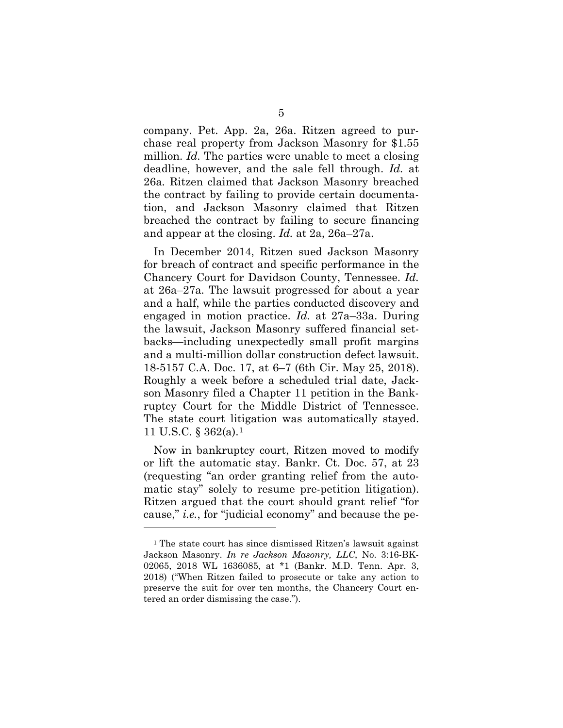company. Pet. App. 2a, 26a. Ritzen agreed to purchase real property from Jackson Masonry for \$1.55 million. *Id.* The parties were unable to meet a closing deadline, however, and the sale fell through. *Id.* at 26a*.* Ritzen claimed that Jackson Masonry breached the contract by failing to provide certain documentation, and Jackson Masonry claimed that Ritzen breached the contract by failing to secure financing and appear at the closing. *Id.* at 2a, 26a–27a.

In December 2014, Ritzen sued Jackson Masonry for breach of contract and specific performance in the Chancery Court for Davidson County, Tennessee. *Id.*  at 26a–27a*.* The lawsuit progressed for about a year and a half, while the parties conducted discovery and engaged in motion practice. *Id.* at 27a–33a. During the lawsuit, Jackson Masonry suffered financial setbacks—including unexpectedly small profit margins and a multi-million dollar construction defect lawsuit. 18-5157 C.A. Doc. 17, at 6–7 (6th Cir. May 25, 2018). Roughly a week before a scheduled trial date, Jackson Masonry filed a Chapter 11 petition in the Bankruptcy Court for the Middle District of Tennessee. The state court litigation was automatically stayed. 11 U.S.C. § 362(a).1

Now in bankruptcy court, Ritzen moved to modify or lift the automatic stay. Bankr. Ct. Doc. 57, at 23 (requesting "an order granting relief from the automatic stay" solely to resume pre-petition litigation). Ritzen argued that the court should grant relief "for cause," *i.e.*, for "judicial economy" and because the pe-

 $\overline{a}$ 

<sup>1</sup> The state court has since dismissed Ritzen's lawsuit against Jackson Masonry. *In re Jackson Masonry, LLC*, No. 3:16-BK-02065, 2018 WL 1636085, at \*1 (Bankr. M.D. Tenn. Apr. 3, 2018) ("When Ritzen failed to prosecute or take any action to preserve the suit for over ten months, the Chancery Court entered an order dismissing the case.").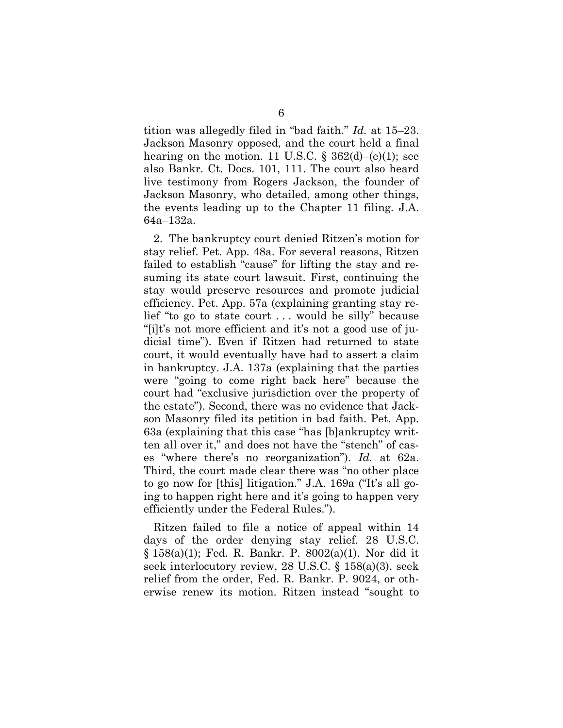tition was allegedly filed in "bad faith." *Id.* at 15–23. Jackson Masonry opposed, and the court held a final hearing on the motion. 11 U.S.C.  $\S$  362(d)–(e)(1); see also Bankr. Ct. Docs. 101, 111. The court also heard live testimony from Rogers Jackson, the founder of Jackson Masonry, who detailed, among other things, the events leading up to the Chapter 11 filing. J.A. 64a–132a.

2. The bankruptcy court denied Ritzen's motion for stay relief. Pet. App. 48a. For several reasons, Ritzen failed to establish "cause" for lifting the stay and resuming its state court lawsuit. First, continuing the stay would preserve resources and promote judicial efficiency. Pet. App. 57a (explaining granting stay relief "to go to state court . . . would be silly" because "[i]t's not more efficient and it's not a good use of judicial time"). Even if Ritzen had returned to state court, it would eventually have had to assert a claim in bankruptcy. J.A. 137a (explaining that the parties were "going to come right back here" because the court had "exclusive jurisdiction over the property of the estate"). Second, there was no evidence that Jackson Masonry filed its petition in bad faith. Pet. App. 63a (explaining that this case "has [b]ankruptcy written all over it," and does not have the "stench" of cases "where there's no reorganization"). *Id.* at 62a. Third, the court made clear there was "no other place to go now for [this] litigation." J.A. 169a ("It's all going to happen right here and it's going to happen very efficiently under the Federal Rules.").

Ritzen failed to file a notice of appeal within 14 days of the order denying stay relief. 28 U.S.C. § 158(a)(1); Fed. R. Bankr. P. 8002(a)(1). Nor did it seek interlocutory review, 28 U.S.C. § 158(a)(3), seek relief from the order, Fed. R. Bankr. P. 9024, or otherwise renew its motion. Ritzen instead "sought to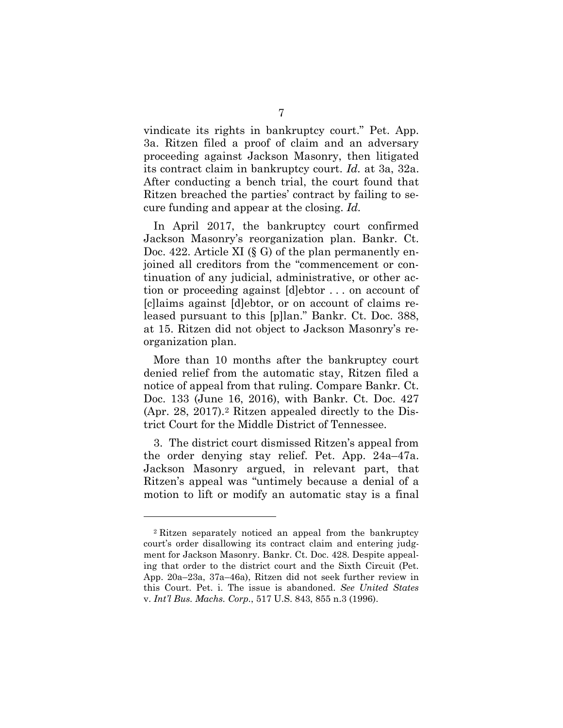vindicate its rights in bankruptcy court." Pet. App. 3a. Ritzen filed a proof of claim and an adversary proceeding against Jackson Masonry, then litigated its contract claim in bankruptcy court. *Id.* at 3a, 32a. After conducting a bench trial, the court found that Ritzen breached the parties' contract by failing to secure funding and appear at the closing. *Id.*

In April 2017, the bankruptcy court confirmed Jackson Masonry's reorganization plan. Bankr. Ct. Doc. 422. Article XI  $(\S G)$  of the plan permanently enjoined all creditors from the "commencement or continuation of any judicial, administrative, or other action or proceeding against [d]ebtor . . . on account of [c]laims against [d]ebtor, or on account of claims released pursuant to this [p]lan." Bankr. Ct. Doc. 388, at 15. Ritzen did not object to Jackson Masonry's reorganization plan.

More than 10 months after the bankruptcy court denied relief from the automatic stay, Ritzen filed a notice of appeal from that ruling. Compare Bankr. Ct. Doc. 133 (June 16, 2016), with Bankr. Ct. Doc. 427 (Apr. 28, 2017).2 Ritzen appealed directly to the District Court for the Middle District of Tennessee.

3. The district court dismissed Ritzen's appeal from the order denying stay relief. Pet. App. 24a–47a. Jackson Masonry argued, in relevant part, that Ritzen's appeal was "untimely because a denial of a motion to lift or modify an automatic stay is a final

 $\overline{a}$ 

<sup>2</sup> Ritzen separately noticed an appeal from the bankruptcy court's order disallowing its contract claim and entering judgment for Jackson Masonry. Bankr. Ct. Doc. 428. Despite appealing that order to the district court and the Sixth Circuit (Pet. App. 20a–23a, 37a–46a), Ritzen did not seek further review in this Court. Pet. i. The issue is abandoned. *See United States* v. *Int'l Bus. Machs. Corp.*, 517 U.S. 843, 855 n.3 (1996).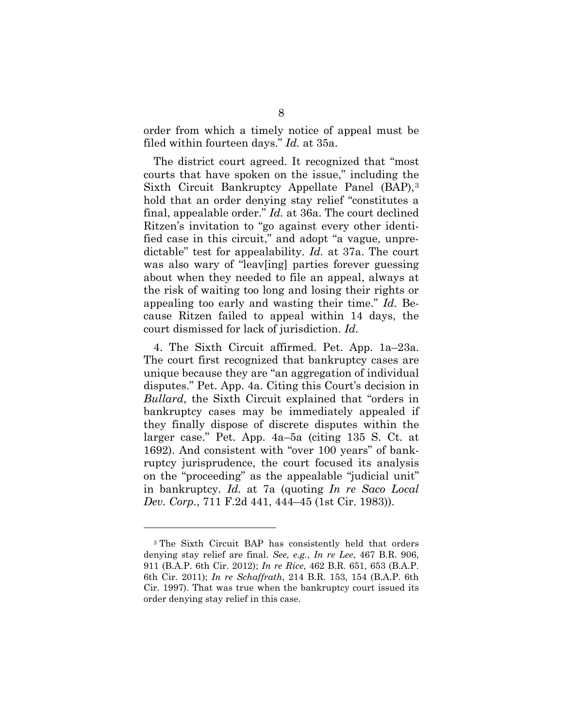order from which a timely notice of appeal must be filed within fourteen days." *Id.* at 35a.

The district court agreed. It recognized that "most courts that have spoken on the issue," including the Sixth Circuit Bankruptcy Appellate Panel (BAP),3 hold that an order denying stay relief "constitutes a final, appealable order." *Id.* at 36a. The court declined Ritzen's invitation to "go against every other identified case in this circuit," and adopt "a vague, unpredictable" test for appealability. *Id.* at 37a. The court was also wary of "leav[ing] parties forever guessing about when they needed to file an appeal, always at the risk of waiting too long and losing their rights or appealing too early and wasting their time." *Id.* Because Ritzen failed to appeal within 14 days, the court dismissed for lack of jurisdiction. *Id.*

4. The Sixth Circuit affirmed. Pet. App. 1a–23a. The court first recognized that bankruptcy cases are unique because they are "an aggregation of individual disputes." Pet. App. 4a. Citing this Court's decision in *Bullard*, the Sixth Circuit explained that "orders in bankruptcy cases may be immediately appealed if they finally dispose of discrete disputes within the larger case." Pet. App. 4a–5a (citing 135 S. Ct. at 1692). And consistent with "over 100 years" of bankruptcy jurisprudence, the court focused its analysis on the "proceeding" as the appealable "judicial unit" in bankruptcy. *Id.* at 7a (quoting *In re Saco Local Dev. Corp.*, 711 F.2d 441, 444–45 (1st Cir. 1983)).

 $\overline{a}$ 

<sup>3</sup> The Sixth Circuit BAP has consistently held that orders denying stay relief are final. *See, e.g.*, *In re Lee*, 467 B.R. 906, 911 (B.A.P. 6th Cir. 2012); *In re Rice*, 462 B.R. 651, 653 (B.A.P. 6th Cir. 2011); *In re Schaffrath*, 214 B.R. 153, 154 (B.A.P. 6th Cir. 1997). That was true when the bankruptcy court issued its order denying stay relief in this case.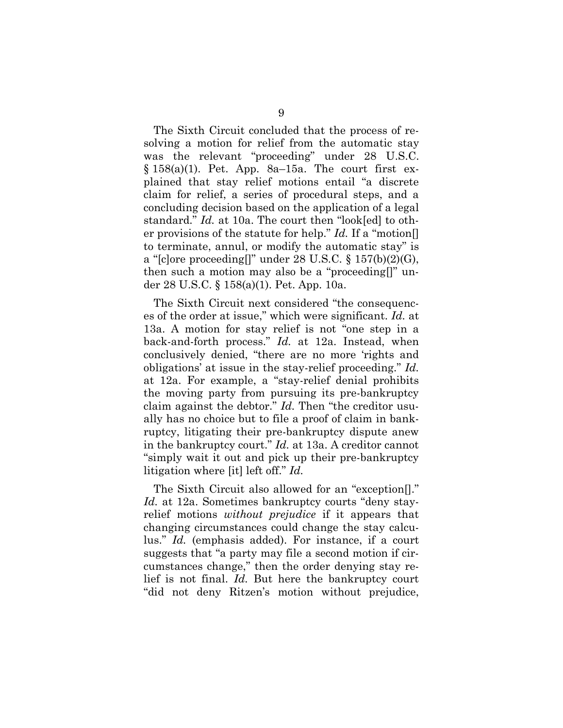The Sixth Circuit concluded that the process of resolving a motion for relief from the automatic stay was the relevant "proceeding" under 28 U.S.C.  $§ 158(a)(1)$ . Pet. App. 8a–15a. The court first explained that stay relief motions entail "a discrete claim for relief, a series of procedural steps, and a concluding decision based on the application of a legal standard." *Id.* at 10a. The court then "look[ed] to other provisions of the statute for help." *Id.* If a "motion[] to terminate, annul, or modify the automatic stay" is a "[c]ore proceeding[]" under 28 U.S.C.  $\S 157(b)(2)(G)$ , then such a motion may also be a "proceeding[]" under 28 U.S.C. § 158(a)(1). Pet. App. 10a.

The Sixth Circuit next considered "the consequences of the order at issue," which were significant. *Id.* at 13a. A motion for stay relief is not "one step in a back-and-forth process." *Id.* at 12a. Instead, when conclusively denied, "there are no more 'rights and obligations' at issue in the stay-relief proceeding." *Id.* at 12a. For example, a "stay-relief denial prohibits the moving party from pursuing its pre-bankruptcy claim against the debtor." *Id.* Then "the creditor usually has no choice but to file a proof of claim in bankruptcy, litigating their pre-bankruptcy dispute anew in the bankruptcy court." *Id.* at 13a. A creditor cannot "simply wait it out and pick up their pre-bankruptcy litigation where [it] left off." *Id.*

The Sixth Circuit also allowed for an "exception[]." *Id.* at 12a. Sometimes bankruptcy courts "deny stayrelief motions *without prejudice* if it appears that changing circumstances could change the stay calculus." *Id.* (emphasis added). For instance, if a court suggests that "a party may file a second motion if circumstances change," then the order denying stay relief is not final. *Id.* But here the bankruptcy court "did not deny Ritzen's motion without prejudice,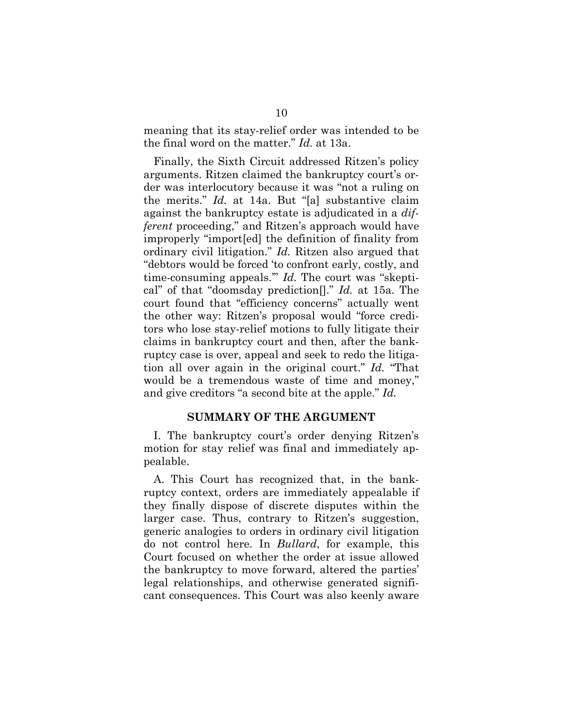meaning that its stay-relief order was intended to be the final word on the matter." *Id.* at 13a.

Finally, the Sixth Circuit addressed Ritzen's policy arguments. Ritzen claimed the bankruptcy court's order was interlocutory because it was "not a ruling on the merits." *Id.* at 14a. But "[a] substantive claim against the bankruptcy estate is adjudicated in a *different* proceeding," and Ritzen's approach would have improperly "import[ed] the definition of finality from ordinary civil litigation." *Id.* Ritzen also argued that "debtors would be forced 'to confront early, costly, and time-consuming appeals.'" *Id.* The court was "skeptical" of that "doomsday prediction[]." *Id.* at 15a. The court found that "efficiency concerns" actually went the other way: Ritzen's proposal would "force creditors who lose stay-relief motions to fully litigate their claims in bankruptcy court and then, after the bankruptcy case is over, appeal and seek to redo the litigation all over again in the original court." *Id.* "That would be a tremendous waste of time and money," and give creditors "a second bite at the apple." *Id.*

## **SUMMARY OF THE ARGUMENT**

I. The bankruptcy court's order denying Ritzen's motion for stay relief was final and immediately appealable.

A. This Court has recognized that, in the bankruptcy context, orders are immediately appealable if they finally dispose of discrete disputes within the larger case. Thus, contrary to Ritzen's suggestion, generic analogies to orders in ordinary civil litigation do not control here. In *Bullard*, for example, this Court focused on whether the order at issue allowed the bankruptcy to move forward, altered the parties' legal relationships, and otherwise generated significant consequences. This Court was also keenly aware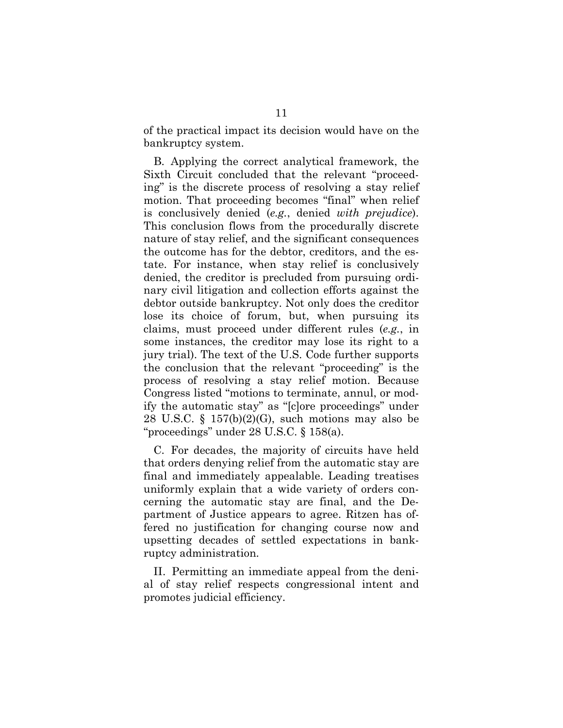of the practical impact its decision would have on the bankruptcy system.

B. Applying the correct analytical framework, the Sixth Circuit concluded that the relevant "proceeding" is the discrete process of resolving a stay relief motion. That proceeding becomes "final" when relief is conclusively denied (*e.g.*, denied *with prejudice*). This conclusion flows from the procedurally discrete nature of stay relief, and the significant consequences the outcome has for the debtor, creditors, and the estate. For instance, when stay relief is conclusively denied, the creditor is precluded from pursuing ordinary civil litigation and collection efforts against the debtor outside bankruptcy. Not only does the creditor lose its choice of forum, but, when pursuing its claims, must proceed under different rules (*e.g.*, in some instances, the creditor may lose its right to a jury trial). The text of the U.S. Code further supports the conclusion that the relevant "proceeding" is the process of resolving a stay relief motion. Because Congress listed "motions to terminate, annul, or modify the automatic stay" as "[c]ore proceedings" under 28 U.S.C.  $\S$  157(b)(2)(G), such motions may also be "proceedings" under 28 U.S.C. § 158(a).

C. For decades, the majority of circuits have held that orders denying relief from the automatic stay are final and immediately appealable. Leading treatises uniformly explain that a wide variety of orders concerning the automatic stay are final, and the Department of Justice appears to agree. Ritzen has offered no justification for changing course now and upsetting decades of settled expectations in bankruptcy administration.

II. Permitting an immediate appeal from the denial of stay relief respects congressional intent and promotes judicial efficiency.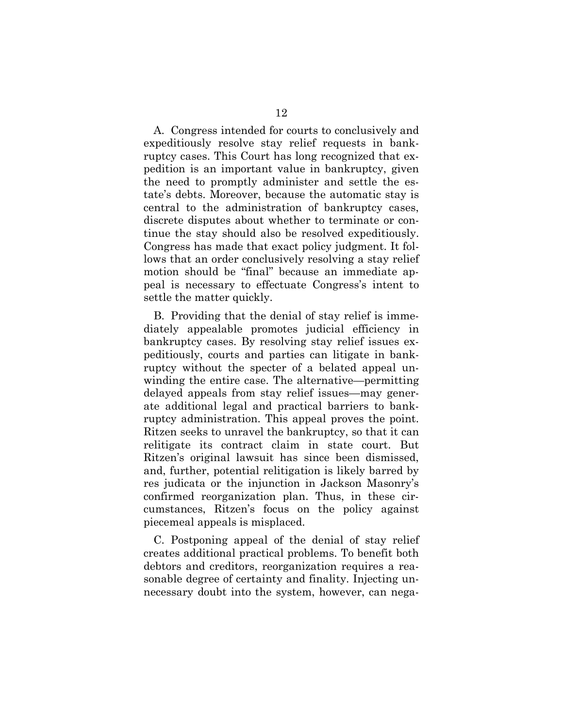A. Congress intended for courts to conclusively and expeditiously resolve stay relief requests in bankruptcy cases. This Court has long recognized that expedition is an important value in bankruptcy, given the need to promptly administer and settle the estate's debts. Moreover, because the automatic stay is central to the administration of bankruptcy cases, discrete disputes about whether to terminate or continue the stay should also be resolved expeditiously. Congress has made that exact policy judgment. It follows that an order conclusively resolving a stay relief motion should be "final" because an immediate appeal is necessary to effectuate Congress's intent to settle the matter quickly.

B. Providing that the denial of stay relief is immediately appealable promotes judicial efficiency in bankruptcy cases. By resolving stay relief issues expeditiously, courts and parties can litigate in bankruptcy without the specter of a belated appeal unwinding the entire case. The alternative—permitting delayed appeals from stay relief issues—may generate additional legal and practical barriers to bankruptcy administration. This appeal proves the point. Ritzen seeks to unravel the bankruptcy, so that it can relitigate its contract claim in state court. But Ritzen's original lawsuit has since been dismissed, and, further, potential relitigation is likely barred by res judicata or the injunction in Jackson Masonry's confirmed reorganization plan. Thus, in these circumstances, Ritzen's focus on the policy against piecemeal appeals is misplaced.

C. Postponing appeal of the denial of stay relief creates additional practical problems. To benefit both debtors and creditors, reorganization requires a reasonable degree of certainty and finality. Injecting unnecessary doubt into the system, however, can nega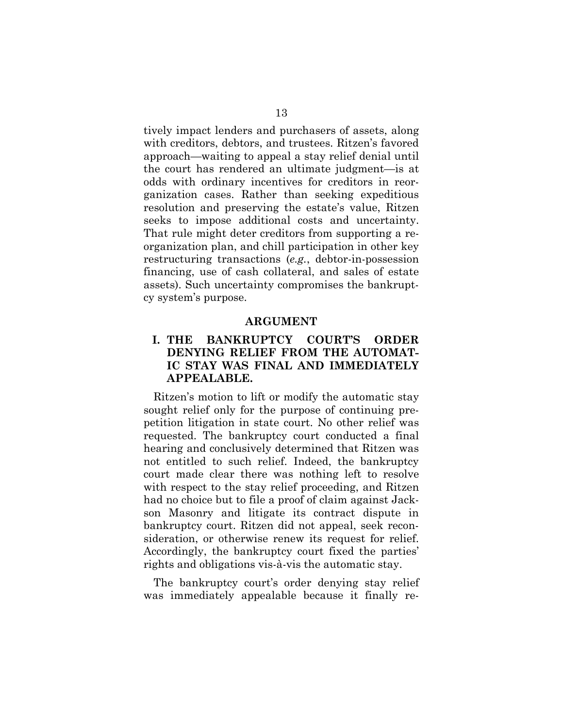tively impact lenders and purchasers of assets, along with creditors, debtors, and trustees. Ritzen's favored approach—waiting to appeal a stay relief denial until the court has rendered an ultimate judgment—is at odds with ordinary incentives for creditors in reorganization cases. Rather than seeking expeditious resolution and preserving the estate's value, Ritzen seeks to impose additional costs and uncertainty. That rule might deter creditors from supporting a reorganization plan, and chill participation in other key restructuring transactions (*e.g.*, debtor-in-possession financing, use of cash collateral, and sales of estate assets). Such uncertainty compromises the bankruptcy system's purpose.

#### **ARGUMENT**

# **I. THE BANKRUPTCY COURT'S ORDER DENYING RELIEF FROM THE AUTOMAT-IC STAY WAS FINAL AND IMMEDIATELY APPEALABLE.**

Ritzen's motion to lift or modify the automatic stay sought relief only for the purpose of continuing prepetition litigation in state court. No other relief was requested. The bankruptcy court conducted a final hearing and conclusively determined that Ritzen was not entitled to such relief. Indeed, the bankruptcy court made clear there was nothing left to resolve with respect to the stay relief proceeding, and Ritzen had no choice but to file a proof of claim against Jackson Masonry and litigate its contract dispute in bankruptcy court. Ritzen did not appeal, seek reconsideration, or otherwise renew its request for relief. Accordingly, the bankruptcy court fixed the parties' rights and obligations vis-à-vis the automatic stay.

The bankruptcy court's order denying stay relief was immediately appealable because it finally re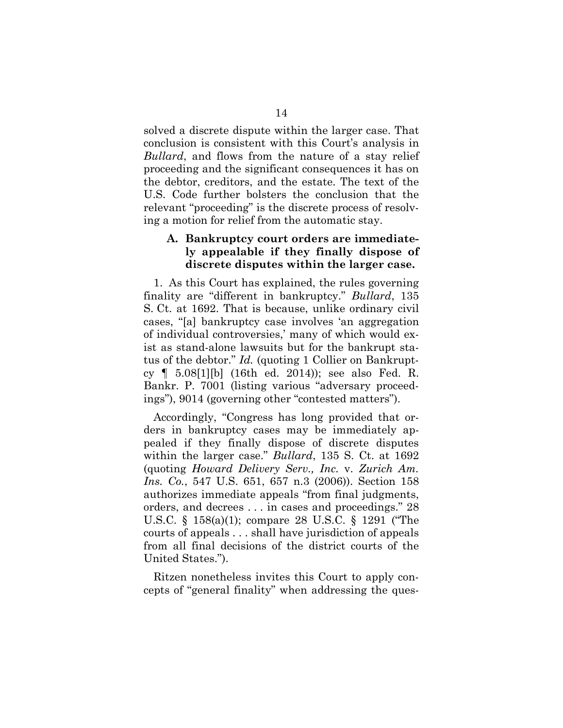solved a discrete dispute within the larger case. That conclusion is consistent with this Court's analysis in *Bullard*, and flows from the nature of a stay relief proceeding and the significant consequences it has on the debtor, creditors, and the estate. The text of the U.S. Code further bolsters the conclusion that the relevant "proceeding" is the discrete process of resolving a motion for relief from the automatic stay.

## **A. Bankruptcy court orders are immediately appealable if they finally dispose of discrete disputes within the larger case.**

1. As this Court has explained, the rules governing finality are "different in bankruptcy." *Bullard*, 135 S. Ct. at 1692. That is because, unlike ordinary civil cases, "[a] bankruptcy case involves 'an aggregation of individual controversies,' many of which would exist as stand-alone lawsuits but for the bankrupt status of the debtor." *Id.* (quoting 1 Collier on Bankruptcy ¶ 5.08[1][b] (16th ed. 2014)); see also Fed. R. Bankr. P. 7001 (listing various "adversary proceedings"), 9014 (governing other "contested matters").

Accordingly, "Congress has long provided that orders in bankruptcy cases may be immediately appealed if they finally dispose of discrete disputes within the larger case." *Bullard*, 135 S. Ct. at 1692 (quoting *Howard Delivery Serv., Inc.* v. *Zurich Am. Ins. Co.*, 547 U.S. 651, 657 n.3 (2006)). Section 158 authorizes immediate appeals "from final judgments, orders, and decrees . . . in cases and proceedings." 28 U.S.C. § 158(a)(1); compare 28 U.S.C. § 1291 ("The courts of appeals . . . shall have jurisdiction of appeals from all final decisions of the district courts of the United States.").

Ritzen nonetheless invites this Court to apply concepts of "general finality" when addressing the ques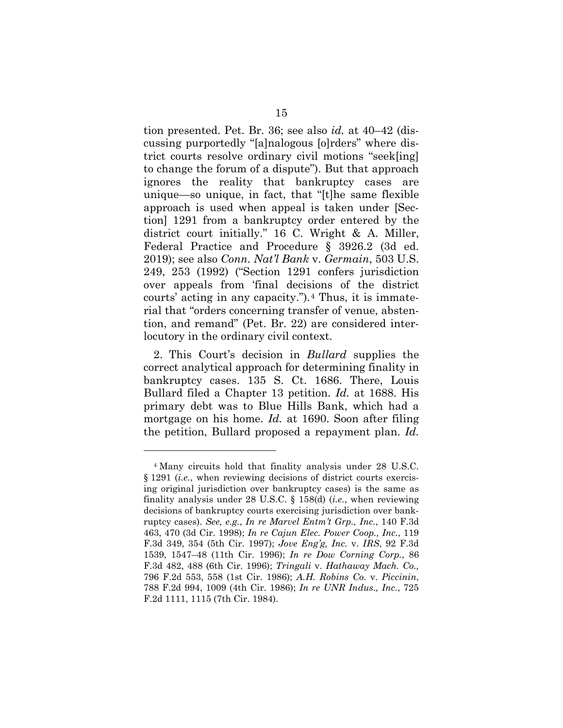tion presented. Pet. Br. 36; see also *id.* at 40–42 (discussing purportedly "[a]nalogous [o]rders" where district courts resolve ordinary civil motions "seek[ing] to change the forum of a dispute"). But that approach ignores the reality that bankruptcy cases are unique—so unique, in fact, that "[t]he same flexible approach is used when appeal is taken under [Section] 1291 from a bankruptcy order entered by the district court initially." 16 C. Wright & A. Miller, Federal Practice and Procedure § 3926.2 (3d ed. 2019); see also *Conn. Nat'l Bank* v. *Germain*, 503 U.S. 249, 253 (1992) ("Section 1291 confers jurisdiction over appeals from 'final decisions of the district courts' acting in any capacity.").4 Thus, it is immaterial that "orders concerning transfer of venue, abstention, and remand" (Pet. Br. 22) are considered interlocutory in the ordinary civil context.

2. This Court's decision in *Bullard* supplies the correct analytical approach for determining finality in bankruptcy cases. 135 S. Ct. 1686. There, Louis Bullard filed a Chapter 13 petition. *Id.* at 1688. His primary debt was to Blue Hills Bank, which had a mortgage on his home. *Id.* at 1690. Soon after filing the petition, Bullard proposed a repayment plan. *Id.*

 $\overline{a}$ 

<sup>4</sup> Many circuits hold that finality analysis under 28 U.S.C. § 1291 (*i.e.*, when reviewing decisions of district courts exercising original jurisdiction over bankruptcy cases) is the same as finality analysis under 28 U.S.C. § 158(d) (*i.e.*, when reviewing decisions of bankruptcy courts exercising jurisdiction over bankruptcy cases). *See, e.g.*, *In re Marvel Entm't Grp., Inc.*, 140 F.3d 463, 470 (3d Cir. 1998); *In re Cajun Elec. Power Coop., Inc.*, 119 F.3d 349, 354 (5th Cir. 1997); *Jove Eng'g, Inc.* v. *IRS*, 92 F.3d 1539, 1547–48 (11th Cir. 1996); *In re Dow Corning Corp.*, 86 F.3d 482, 488 (6th Cir. 1996); *Tringali* v. *Hathaway Mach. Co.,*  796 F.2d 553, 558 (1st Cir. 1986); *A.H. Robins Co.* v. *Piccinin*, 788 F.2d 994, 1009 (4th Cir. 1986); *In re UNR Indus., Inc.*, 725 F.2d 1111, 1115 (7th Cir. 1984).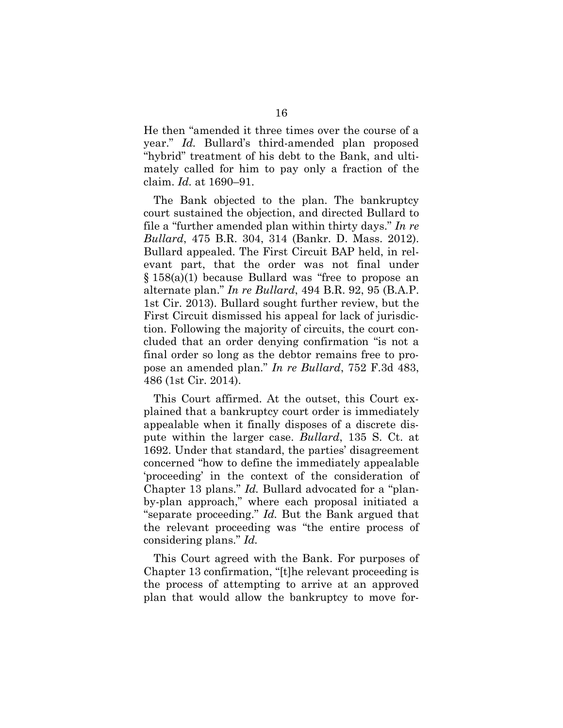He then "amended it three times over the course of a year." *Id.* Bullard's third-amended plan proposed "hybrid" treatment of his debt to the Bank, and ultimately called for him to pay only a fraction of the claim. *Id.* at 1690–91.

The Bank objected to the plan. The bankruptcy court sustained the objection, and directed Bullard to file a "further amended plan within thirty days." *In re Bullard*, 475 B.R. 304, 314 (Bankr. D. Mass. 2012). Bullard appealed. The First Circuit BAP held, in relevant part, that the order was not final under § 158(a)(1) because Bullard was "free to propose an alternate plan." *In re Bullard*, 494 B.R. 92, 95 (B.A.P. 1st Cir. 2013). Bullard sought further review, but the First Circuit dismissed his appeal for lack of jurisdiction. Following the majority of circuits, the court concluded that an order denying confirmation "is not a final order so long as the debtor remains free to propose an amended plan." *In re Bullard*, 752 F.3d 483, 486 (1st Cir. 2014).

This Court affirmed. At the outset, this Court explained that a bankruptcy court order is immediately appealable when it finally disposes of a discrete dispute within the larger case. *Bullard*, 135 S. Ct. at 1692. Under that standard, the parties' disagreement concerned "how to define the immediately appealable 'proceeding' in the context of the consideration of Chapter 13 plans." *Id.* Bullard advocated for a "planby-plan approach," where each proposal initiated a "separate proceeding." *Id.* But the Bank argued that the relevant proceeding was "the entire process of considering plans." *Id.*

This Court agreed with the Bank. For purposes of Chapter 13 confirmation, "[t]he relevant proceeding is the process of attempting to arrive at an approved plan that would allow the bankruptcy to move for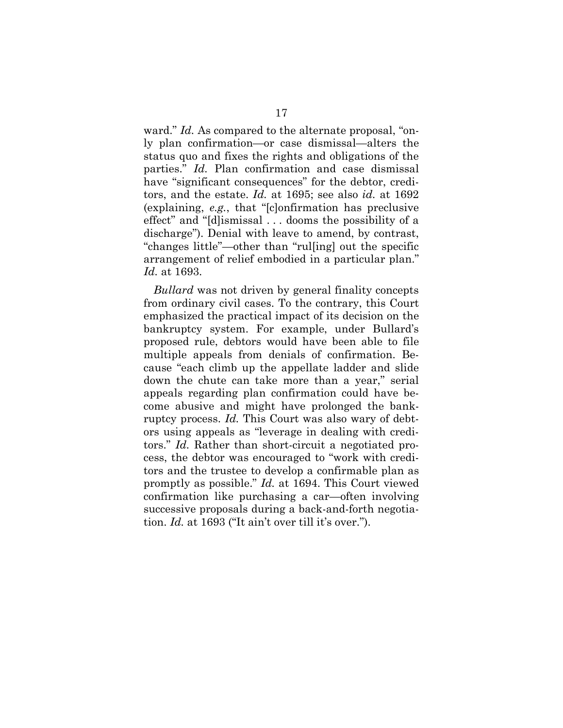ward." *Id.* As compared to the alternate proposal, "only plan confirmation—or case dismissal—alters the status quo and fixes the rights and obligations of the parties." *Id.* Plan confirmation and case dismissal have "significant consequences" for the debtor, creditors, and the estate. *Id.* at 1695; see also *id.* at 1692 (explaining, *e.g.*, that "[c]onfirmation has preclusive effect" and "[d]ismissal . . . dooms the possibility of a discharge"). Denial with leave to amend, by contrast, "changes little"—other than "rul[ing] out the specific arrangement of relief embodied in a particular plan." *Id.* at 1693.

*Bullard* was not driven by general finality concepts from ordinary civil cases. To the contrary, this Court emphasized the practical impact of its decision on the bankruptcy system. For example, under Bullard's proposed rule, debtors would have been able to file multiple appeals from denials of confirmation. Because "each climb up the appellate ladder and slide down the chute can take more than a year," serial appeals regarding plan confirmation could have become abusive and might have prolonged the bankruptcy process. *Id.* This Court was also wary of debtors using appeals as "leverage in dealing with creditors." *Id.* Rather than short-circuit a negotiated process, the debtor was encouraged to "work with creditors and the trustee to develop a confirmable plan as promptly as possible." *Id.* at 1694. This Court viewed confirmation like purchasing a car—often involving successive proposals during a back-and-forth negotiation. *Id.* at 1693 ("It ain't over till it's over.").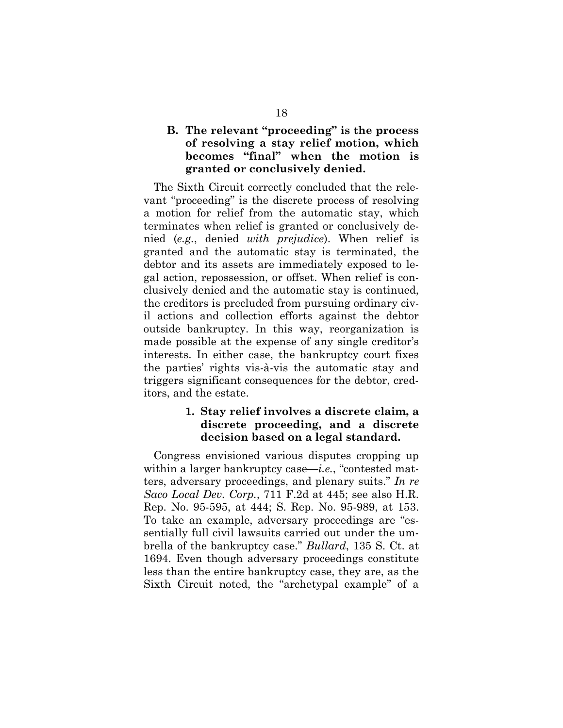# **B. The relevant "proceeding" is the process of resolving a stay relief motion, which becomes "final" when the motion is granted or conclusively denied.**

The Sixth Circuit correctly concluded that the relevant "proceeding" is the discrete process of resolving a motion for relief from the automatic stay, which terminates when relief is granted or conclusively denied (*e.g.*, denied *with prejudice*). When relief is granted and the automatic stay is terminated, the debtor and its assets are immediately exposed to legal action, repossession, or offset. When relief is conclusively denied and the automatic stay is continued, the creditors is precluded from pursuing ordinary civil actions and collection efforts against the debtor outside bankruptcy. In this way, reorganization is made possible at the expense of any single creditor's interests. In either case, the bankruptcy court fixes the parties' rights vis-à-vis the automatic stay and triggers significant consequences for the debtor, creditors, and the estate.

## **1. Stay relief involves a discrete claim, a discrete proceeding, and a discrete decision based on a legal standard.**

Congress envisioned various disputes cropping up within a larger bankruptcy case—*i.e.*, "contested matters, adversary proceedings, and plenary suits." *In re Saco Local Dev. Corp.*, 711 F.2d at 445; see also H.R. Rep. No. 95-595, at 444; S. Rep. No. 95-989, at 153. To take an example, adversary proceedings are "essentially full civil lawsuits carried out under the umbrella of the bankruptcy case." *Bullard*, 135 S. Ct. at 1694. Even though adversary proceedings constitute less than the entire bankruptcy case, they are, as the Sixth Circuit noted, the "archetypal example" of a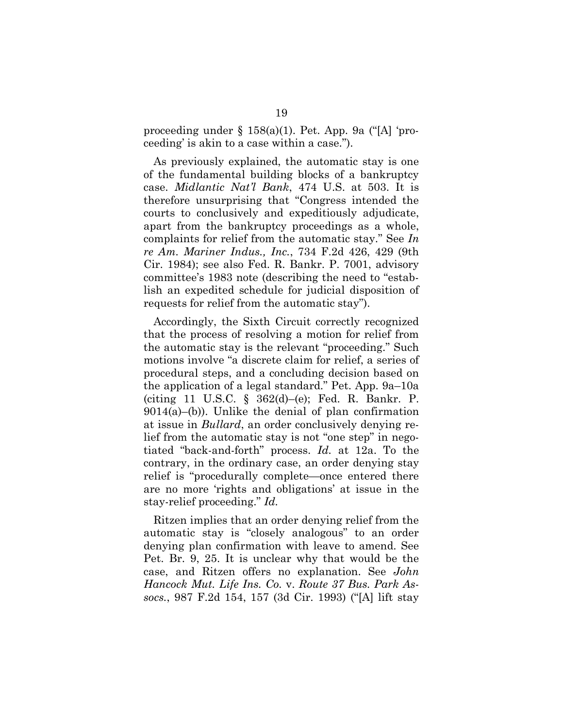proceeding under § 158(a)(1). Pet. App. 9a ("[A] 'proceeding' is akin to a case within a case.").

As previously explained, the automatic stay is one of the fundamental building blocks of a bankruptcy case. *Midlantic Nat'l Bank*, 474 U.S. at 503. It is therefore unsurprising that "Congress intended the courts to conclusively and expeditiously adjudicate, apart from the bankruptcy proceedings as a whole, complaints for relief from the automatic stay." See *In re Am. Mariner Indus., Inc.*, 734 F.2d 426, 429 (9th Cir. 1984); see also Fed. R. Bankr. P. 7001, advisory committee's 1983 note (describing the need to "establish an expedited schedule for judicial disposition of requests for relief from the automatic stay").

Accordingly, the Sixth Circuit correctly recognized that the process of resolving a motion for relief from the automatic stay is the relevant "proceeding." Such motions involve "a discrete claim for relief, a series of procedural steps, and a concluding decision based on the application of a legal standard." Pet. App. 9a–10a (citing 11 U.S.C. § 362(d)–(e); Fed. R. Bankr. P.  $9014(a)$ –(b)). Unlike the denial of plan confirmation at issue in *Bullard*, an order conclusively denying relief from the automatic stay is not "one step" in negotiated "back-and-forth" process. *Id.* at 12a. To the contrary, in the ordinary case, an order denying stay relief is "procedurally complete—once entered there are no more 'rights and obligations' at issue in the stay-relief proceeding." *Id.*

Ritzen implies that an order denying relief from the automatic stay is "closely analogous" to an order denying plan confirmation with leave to amend. See Pet. Br. 9, 25. It is unclear why that would be the case, and Ritzen offers no explanation. See *John Hancock Mut. Life Ins. Co.* v. *Route 37 Bus. Park Assocs.*, 987 F.2d 154, 157 (3d Cir. 1993) ("[A] lift stay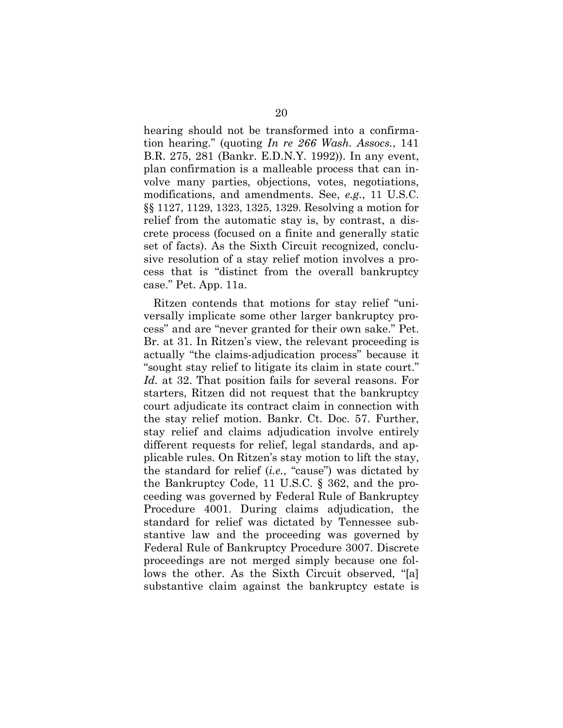hearing should not be transformed into a confirmation hearing." (quoting *In re 266 Wash. Assocs.*, 141 B.R. 275, 281 (Bankr. E.D.N.Y. 1992)). In any event, plan confirmation is a malleable process that can involve many parties, objections, votes, negotiations, modifications, and amendments. See, *e.g.*, 11 U.S.C. §§ 1127, 1129, 1323, 1325, 1329. Resolving a motion for relief from the automatic stay is, by contrast, a discrete process (focused on a finite and generally static set of facts). As the Sixth Circuit recognized, conclusive resolution of a stay relief motion involves a process that is "distinct from the overall bankruptcy case." Pet. App. 11a.

Ritzen contends that motions for stay relief "universally implicate some other larger bankruptcy process" and are "never granted for their own sake." Pet. Br. at 31. In Ritzen's view, the relevant proceeding is actually "the claims-adjudication process" because it "sought stay relief to litigate its claim in state court." *Id.* at 32. That position fails for several reasons. For starters, Ritzen did not request that the bankruptcy court adjudicate its contract claim in connection with the stay relief motion. Bankr. Ct. Doc. 57. Further, stay relief and claims adjudication involve entirely different requests for relief, legal standards, and applicable rules. On Ritzen's stay motion to lift the stay, the standard for relief (*i.e.*, "cause") was dictated by the Bankruptcy Code, 11 U.S.C. § 362, and the proceeding was governed by Federal Rule of Bankruptcy Procedure 4001. During claims adjudication, the standard for relief was dictated by Tennessee substantive law and the proceeding was governed by Federal Rule of Bankruptcy Procedure 3007. Discrete proceedings are not merged simply because one follows the other. As the Sixth Circuit observed, "[a] substantive claim against the bankruptcy estate is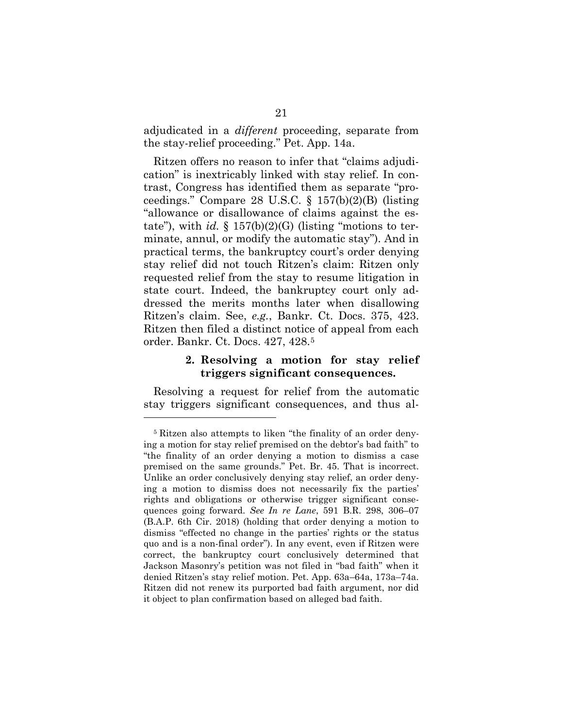adjudicated in a *different* proceeding, separate from the stay-relief proceeding." Pet. App. 14a.

Ritzen offers no reason to infer that "claims adjudication" is inextricably linked with stay relief. In contrast, Congress has identified them as separate "proceedings." Compare 28 U.S.C. § 157(b)(2)(B) (listing "allowance or disallowance of claims against the estate"), with  $id. \S$  157(b)(2)(G) (listing "motions to terminate, annul, or modify the automatic stay"). And in practical terms, the bankruptcy court's order denying stay relief did not touch Ritzen's claim: Ritzen only requested relief from the stay to resume litigation in state court. Indeed, the bankruptcy court only addressed the merits months later when disallowing Ritzen's claim. See, *e.g.*, Bankr. Ct. Docs. 375, 423. Ritzen then filed a distinct notice of appeal from each order. Bankr. Ct. Docs. 427, 428.5

## **2. Resolving a motion for stay relief triggers significant consequences.**

Resolving a request for relief from the automatic stay triggers significant consequences, and thus al-

 $\overline{a}$ 

<sup>5</sup> Ritzen also attempts to liken "the finality of an order denying a motion for stay relief premised on the debtor's bad faith" to "the finality of an order denying a motion to dismiss a case premised on the same grounds." Pet. Br. 45. That is incorrect. Unlike an order conclusively denying stay relief, an order denying a motion to dismiss does not necessarily fix the parties' rights and obligations or otherwise trigger significant consequences going forward. *See In re Lane*, 591 B.R. 298, 306–07 (B.A.P. 6th Cir. 2018) (holding that order denying a motion to dismiss "effected no change in the parties' rights or the status quo and is a non-final order"). In any event, even if Ritzen were correct, the bankruptcy court conclusively determined that Jackson Masonry's petition was not filed in "bad faith" when it denied Ritzen's stay relief motion. Pet. App. 63a–64a, 173a–74a. Ritzen did not renew its purported bad faith argument, nor did it object to plan confirmation based on alleged bad faith.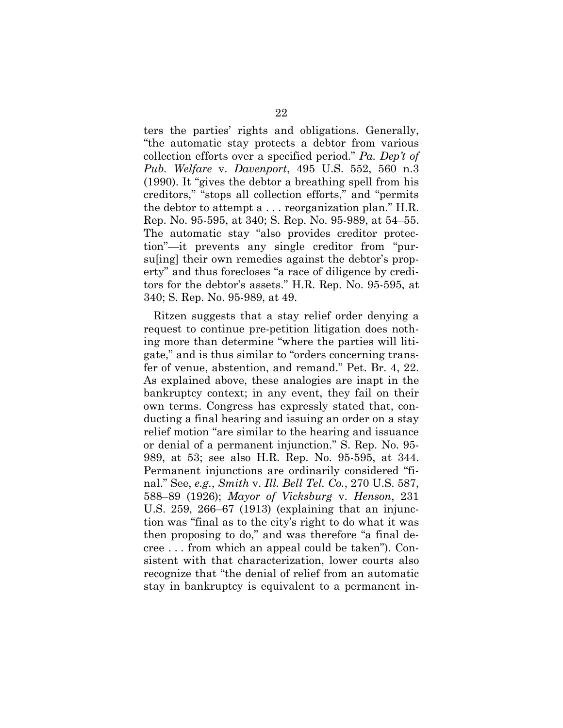ters the parties' rights and obligations. Generally, "the automatic stay protects a debtor from various collection efforts over a specified period." *Pa. Dep't of Pub. Welfare* v. *Davenport*, 495 U.S. 552, 560 n.3 (1990). It "gives the debtor a breathing spell from his creditors," "stops all collection efforts," and "permits the debtor to attempt a . . . reorganization plan." H.R. Rep. No. 95-595, at 340; S. Rep. No. 95-989, at 54–55. The automatic stay "also provides creditor protection"—it prevents any single creditor from "pursu[ing] their own remedies against the debtor's property" and thus forecloses "a race of diligence by creditors for the debtor's assets." H.R. Rep. No. 95-595, at 340; S. Rep. No. 95-989, at 49.

Ritzen suggests that a stay relief order denying a request to continue pre-petition litigation does nothing more than determine "where the parties will litigate," and is thus similar to "orders concerning transfer of venue, abstention, and remand." Pet. Br. 4, 22. As explained above, these analogies are inapt in the bankruptcy context; in any event, they fail on their own terms. Congress has expressly stated that, conducting a final hearing and issuing an order on a stay relief motion "are similar to the hearing and issuance or denial of a permanent injunction." S. Rep. No. 95- 989, at 53; see also H.R. Rep. No. 95-595, at 344. Permanent injunctions are ordinarily considered "final." See, *e.g.*, *Smith* v. *Ill. Bell Tel. Co.*, 270 U.S. 587, 588–89 (1926); *Mayor of Vicksburg* v. *Henson*, 231 U.S. 259, 266–67 (1913) (explaining that an injunction was "final as to the city's right to do what it was then proposing to do," and was therefore "a final decree . . . from which an appeal could be taken"). Consistent with that characterization, lower courts also recognize that "the denial of relief from an automatic stay in bankruptcy is equivalent to a permanent in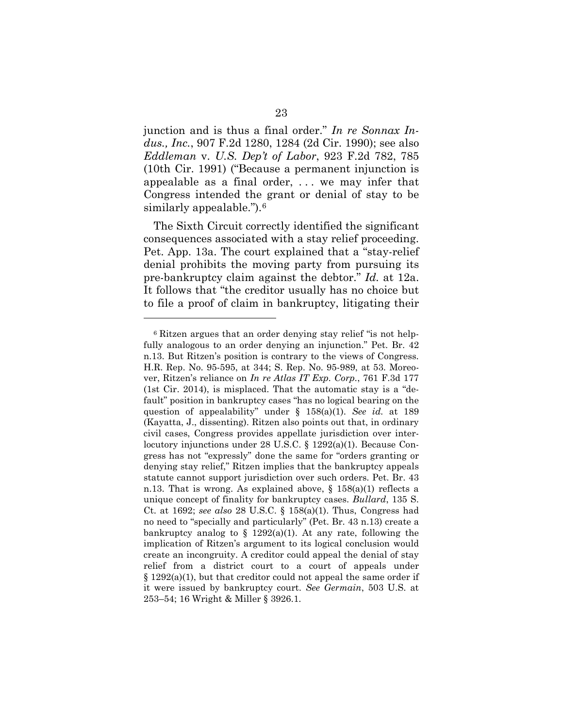junction and is thus a final order." *In re Sonnax Indus., Inc.*, 907 F.2d 1280, 1284 (2d Cir. 1990); see also *Eddleman* v. *U.S. Dep't of Labor*, 923 F.2d 782, 785 (10th Cir. 1991) ("Because a permanent injunction is appealable as a final order, . . . we may infer that Congress intended the grant or denial of stay to be similarly appealable.").<sup>6</sup>

The Sixth Circuit correctly identified the significant consequences associated with a stay relief proceeding. Pet. App. 13a. The court explained that a "stay-relief denial prohibits the moving party from pursuing its pre-bankruptcy claim against the debtor." *Id.* at 12a. It follows that "the creditor usually has no choice but to file a proof of claim in bankruptcy, litigating their

 $\overline{a}$ 

<sup>6</sup> Ritzen argues that an order denying stay relief "is not helpfully analogous to an order denying an injunction." Pet. Br. 42 n.13. But Ritzen's position is contrary to the views of Congress. H.R. Rep. No. 95-595, at 344; S. Rep. No. 95-989, at 53. Moreover, Ritzen's reliance on *In re Atlas IT Exp. Corp.*, 761 F.3d 177 (1st Cir. 2014), is misplaced. That the automatic stay is a "default" position in bankruptcy cases "has no logical bearing on the question of appealability" under § 158(a)(1). *See id.* at 189 (Kayatta, J., dissenting). Ritzen also points out that, in ordinary civil cases, Congress provides appellate jurisdiction over interlocutory injunctions under 28 U.S.C. § 1292(a)(1). Because Congress has not "expressly" done the same for "orders granting or denying stay relief," Ritzen implies that the bankruptcy appeals statute cannot support jurisdiction over such orders. Pet. Br. 43 n.13. That is wrong. As explained above,  $\S$  158(a)(1) reflects a unique concept of finality for bankruptcy cases. *Bullard*, 135 S. Ct. at 1692; *see also* 28 U.S.C. § 158(a)(1). Thus, Congress had no need to "specially and particularly" (Pet. Br. 43 n.13) create a bankruptcy analog to  $\S$  1292(a)(1). At any rate, following the implication of Ritzen's argument to its logical conclusion would create an incongruity. A creditor could appeal the denial of stay relief from a district court to a court of appeals under  $\S 1292(a)(1)$ , but that creditor could not appeal the same order if it were issued by bankruptcy court. *See Germain*, 503 U.S. at 253–54; 16 Wright & Miller § 3926.1.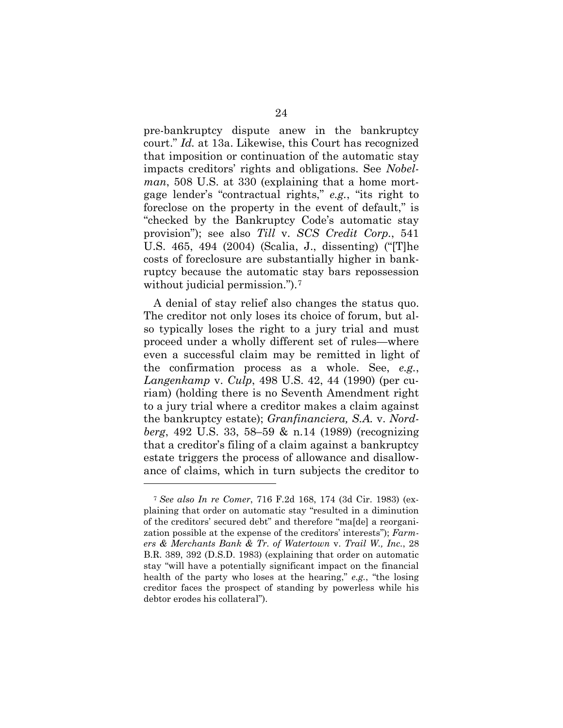pre-bankruptcy dispute anew in the bankruptcy court." *Id.* at 13a. Likewise, this Court has recognized that imposition or continuation of the automatic stay impacts creditors' rights and obligations. See *Nobelman*, 508 U.S. at 330 (explaining that a home mortgage lender's "contractual rights," *e.g.*, "its right to foreclose on the property in the event of default," is "checked by the Bankruptcy Code's automatic stay provision"); see also *Till* v. *SCS Credit Corp.*, 541 U.S. 465, 494 (2004) (Scalia, J., dissenting) ("[T]he costs of foreclosure are substantially higher in bankruptcy because the automatic stay bars repossession without judicial permission.").<sup>7</sup>

A denial of stay relief also changes the status quo. The creditor not only loses its choice of forum, but also typically loses the right to a jury trial and must proceed under a wholly different set of rules—where even a successful claim may be remitted in light of the confirmation process as a whole. See, *e.g.*, *Langenkamp* v. *Culp*, 498 U.S. 42, 44 (1990) (per curiam) (holding there is no Seventh Amendment right to a jury trial where a creditor makes a claim against the bankruptcy estate); *Granfinanciera, S.A.* v. *Nordberg*, 492 U.S. 33, 58–59 & n.14 (1989) (recognizing that a creditor's filing of a claim against a bankruptcy estate triggers the process of allowance and disallowance of claims, which in turn subjects the creditor to

 $\overline{a}$ 

<sup>7</sup> *See also In re Comer*, 716 F.2d 168, 174 (3d Cir. 1983) (explaining that order on automatic stay "resulted in a diminution of the creditors' secured debt" and therefore "ma[de] a reorganization possible at the expense of the creditors' interests"); *Farmers & Merchants Bank & Tr. of Watertown* v. *Trail W., Inc.*, 28 B.R. 389, 392 (D.S.D. 1983) (explaining that order on automatic stay "will have a potentially significant impact on the financial health of the party who loses at the hearing," *e.g.*, "the losing creditor faces the prospect of standing by powerless while his debtor erodes his collateral").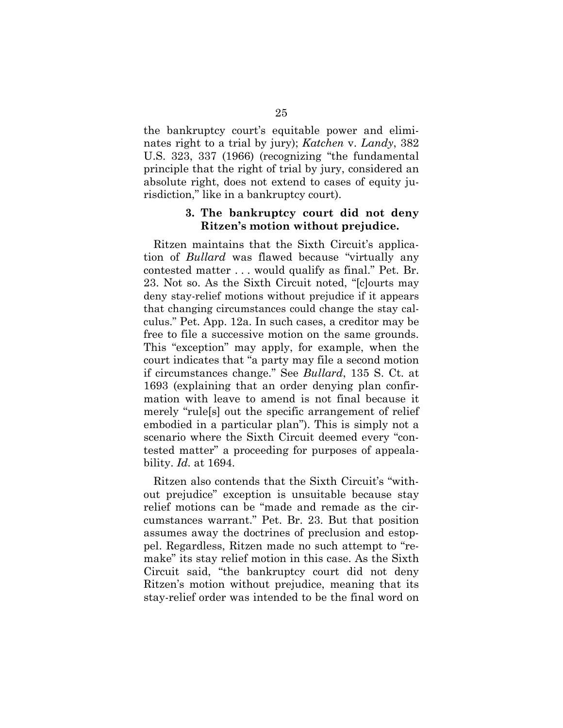the bankruptcy court's equitable power and eliminates right to a trial by jury); *Katchen* v. *Landy*, 382 U.S. 323, 337 (1966) (recognizing "the fundamental principle that the right of trial by jury, considered an absolute right, does not extend to cases of equity jurisdiction," like in a bankruptcy court).

## **3. The bankruptcy court did not deny Ritzen's motion without prejudice.**

Ritzen maintains that the Sixth Circuit's application of *Bullard* was flawed because "virtually any contested matter . . . would qualify as final." Pet. Br. 23. Not so. As the Sixth Circuit noted, "[c]ourts may deny stay-relief motions without prejudice if it appears that changing circumstances could change the stay calculus." Pet. App. 12a. In such cases, a creditor may be free to file a successive motion on the same grounds. This "exception" may apply, for example, when the court indicates that "a party may file a second motion if circumstances change." See *Bullard*, 135 S. Ct. at 1693 (explaining that an order denying plan confirmation with leave to amend is not final because it merely "rule[s] out the specific arrangement of relief embodied in a particular plan"). This is simply not a scenario where the Sixth Circuit deemed every "contested matter" a proceeding for purposes of appealability. *Id.* at 1694.

Ritzen also contends that the Sixth Circuit's "without prejudice" exception is unsuitable because stay relief motions can be "made and remade as the circumstances warrant." Pet. Br. 23. But that position assumes away the doctrines of preclusion and estoppel. Regardless, Ritzen made no such attempt to "remake" its stay relief motion in this case. As the Sixth Circuit said, "the bankruptcy court did not deny Ritzen's motion without prejudice, meaning that its stay-relief order was intended to be the final word on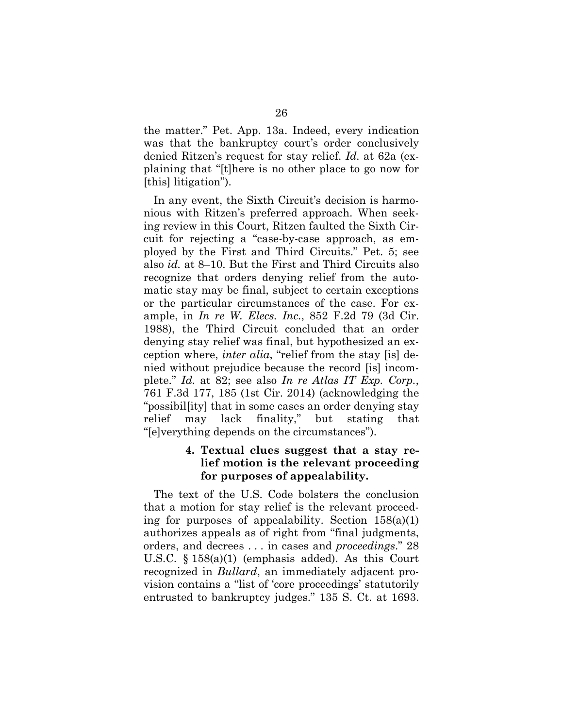the matter." Pet. App. 13a. Indeed, every indication was that the bankruptcy court's order conclusively denied Ritzen's request for stay relief. *Id.* at 62a (explaining that "[t]here is no other place to go now for [this] litigation").

In any event, the Sixth Circuit's decision is harmonious with Ritzen's preferred approach. When seeking review in this Court, Ritzen faulted the Sixth Circuit for rejecting a "case-by-case approach, as employed by the First and Third Circuits." Pet. 5; see also *id.* at 8–10. But the First and Third Circuits also recognize that orders denying relief from the automatic stay may be final, subject to certain exceptions or the particular circumstances of the case. For example, in *In re W. Elecs. Inc.*, 852 F.2d 79 (3d Cir. 1988), the Third Circuit concluded that an order denying stay relief was final, but hypothesized an exception where, *inter alia*, "relief from the stay [is] denied without prejudice because the record [is] incomplete." *Id.* at 82; see also *In re Atlas IT Exp. Corp.*, 761 F.3d 177, 185 (1st Cir. 2014) (acknowledging the "possibil[ity] that in some cases an order denying stay relief may lack finality," but stating that "[e]verything depends on the circumstances").

## **4. Textual clues suggest that a stay relief motion is the relevant proceeding for purposes of appealability.**

The text of the U.S. Code bolsters the conclusion that a motion for stay relief is the relevant proceeding for purposes of appealability. Section  $158(a)(1)$ authorizes appeals as of right from "final judgments, orders, and decrees . . . in cases and *proceedings*." 28 U.S.C. § 158(a)(1) (emphasis added). As this Court recognized in *Bullard*, an immediately adjacent provision contains a "list of 'core proceedings' statutorily entrusted to bankruptcy judges." 135 S. Ct. at 1693.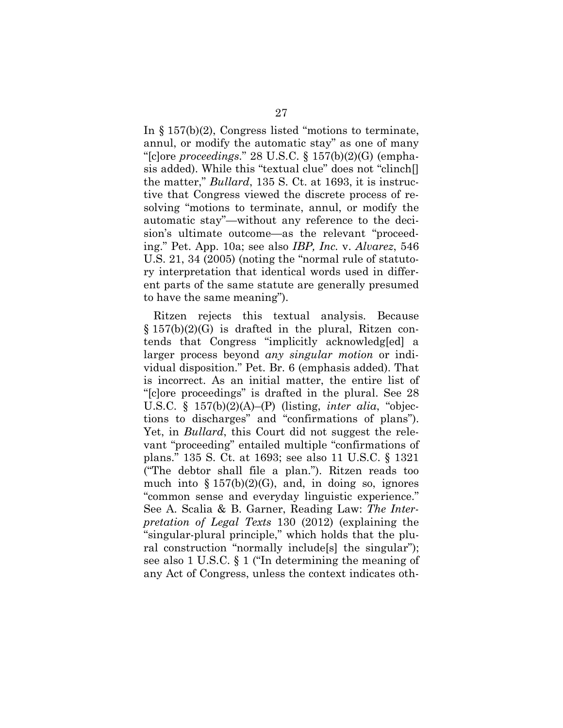In § 157(b)(2), Congress listed "motions to terminate, annul, or modify the automatic stay" as one of many "[c]ore *proceedings*." 28 U.S.C. § 157(b)(2)(G) (emphasis added). While this "textual clue" does not "clinch[] the matter," *Bullard*, 135 S. Ct. at 1693, it is instructive that Congress viewed the discrete process of resolving "motions to terminate, annul, or modify the automatic stay"—without any reference to the decision's ultimate outcome—as the relevant "proceeding." Pet. App. 10a; see also *IBP, Inc.* v. *Alvarez*, 546 U.S. 21, 34 (2005) (noting the "normal rule of statutory interpretation that identical words used in different parts of the same statute are generally presumed to have the same meaning").

Ritzen rejects this textual analysis. Because  $\S 157(b)(2)(G)$  is drafted in the plural, Ritzen contends that Congress "implicitly acknowledg[ed] a larger process beyond *any singular motion* or individual disposition." Pet. Br. 6 (emphasis added). That is incorrect. As an initial matter, the entire list of "[c]ore proceedings" is drafted in the plural. See 28 U.S.C. § 157(b)(2)(A)–(P) (listing, *inter alia*, "objections to discharges" and "confirmations of plans"). Yet, in *Bullard*, this Court did not suggest the relevant "proceeding" entailed multiple "confirmations of plans." 135 S. Ct. at 1693; see also 11 U.S.C. § 1321 ("The debtor shall file a plan."). Ritzen reads too much into  $\S 157(b)(2)(G)$ , and, in doing so, ignores "common sense and everyday linguistic experience." See A. Scalia & B. Garner, Reading Law: *The Interpretation of Legal Texts* 130 (2012) (explaining the "singular-plural principle," which holds that the plural construction "normally include[s] the singular"); see also 1 U.S.C. § 1 ("In determining the meaning of any Act of Congress, unless the context indicates oth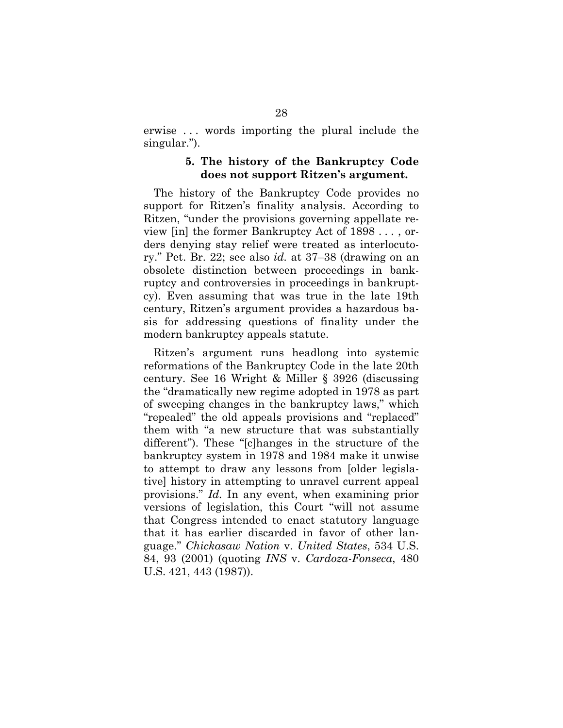erwise . . . words importing the plural include the singular.").

## **5. The history of the Bankruptcy Code does not support Ritzen's argument.**

The history of the Bankruptcy Code provides no support for Ritzen's finality analysis. According to Ritzen, "under the provisions governing appellate review [in] the former Bankruptcy Act of 1898 . . . , orders denying stay relief were treated as interlocutory." Pet. Br. 22; see also *id.* at 37–38 (drawing on an obsolete distinction between proceedings in bankruptcy and controversies in proceedings in bankruptcy). Even assuming that was true in the late 19th century, Ritzen's argument provides a hazardous basis for addressing questions of finality under the modern bankruptcy appeals statute.

Ritzen's argument runs headlong into systemic reformations of the Bankruptcy Code in the late 20th century. See 16 Wright & Miller § 3926 (discussing the "dramatically new regime adopted in 1978 as part of sweeping changes in the bankruptcy laws," which "repealed" the old appeals provisions and "replaced" them with "a new structure that was substantially different"). These "[c]hanges in the structure of the bankruptcy system in 1978 and 1984 make it unwise to attempt to draw any lessons from [older legislative] history in attempting to unravel current appeal provisions." *Id.* In any event, when examining prior versions of legislation, this Court "will not assume that Congress intended to enact statutory language that it has earlier discarded in favor of other language." *Chickasaw Nation* v. *United States*, 534 U.S. 84, 93 (2001) (quoting *INS* v. *Cardoza-Fonseca*, 480 U.S. 421, 443 (1987)).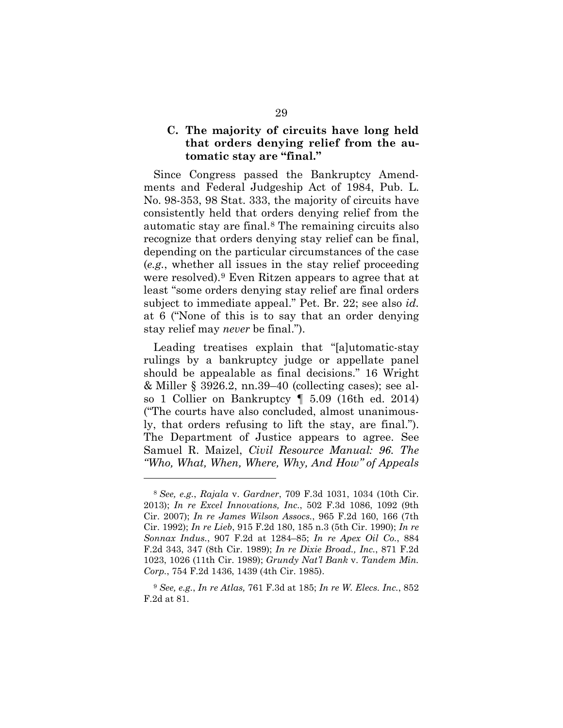## **C. The majority of circuits have long held that orders denying relief from the automatic stay are "final."**

Since Congress passed the Bankruptcy Amendments and Federal Judgeship Act of 1984, Pub. L. No. 98-353, 98 Stat. 333, the majority of circuits have consistently held that orders denying relief from the automatic stay are final.8 The remaining circuits also recognize that orders denying stay relief can be final, depending on the particular circumstances of the case (*e.g.*, whether all issues in the stay relief proceeding were resolved).9 Even Ritzen appears to agree that at least "some orders denying stay relief are final orders subject to immediate appeal." Pet. Br. 22; see also *id.* at 6 ("None of this is to say that an order denying stay relief may *never* be final.").

Leading treatises explain that "[a]utomatic-stay rulings by a bankruptcy judge or appellate panel should be appealable as final decisions." 16 Wright & Miller § 3926.2, nn.39–40 (collecting cases); see also 1 Collier on Bankruptcy ¶ 5.09 (16th ed. 2014) ("The courts have also concluded, almost unanimously, that orders refusing to lift the stay, are final."). The Department of Justice appears to agree. See Samuel R. Maizel, *Civil Resource Manual: 96. The "Who, What, When, Where, Why, And How" of Appeals* 

 $\overline{a}$ 

<sup>8</sup> *See, e.g.*, *Rajala* v. *Gardner*, 709 F.3d 1031, 1034 (10th Cir. 2013); *In re Excel Innovations, Inc.*, 502 F.3d 1086, 1092 (9th Cir. 2007); *In re James Wilson Assocs.*, 965 F.2d 160, 166 (7th Cir. 1992); *In re Lieb*, 915 F.2d 180, 185 n.3 (5th Cir. 1990); *In re Sonnax Indus.*, 907 F.2d at 1284–85; *In re Apex Oil Co.*, 884 F.2d 343, 347 (8th Cir. 1989); *In re Dixie Broad., Inc.*, 871 F.2d 1023, 1026 (11th Cir. 1989); *Grundy Nat'l Bank* v. *Tandem Min. Corp.*, 754 F.2d 1436, 1439 (4th Cir. 1985).

<sup>9</sup> *See, e.g.*, *In re Atlas,* 761 F.3d at 185; *In re W. Elecs. Inc.*, 852 F.2d at 81.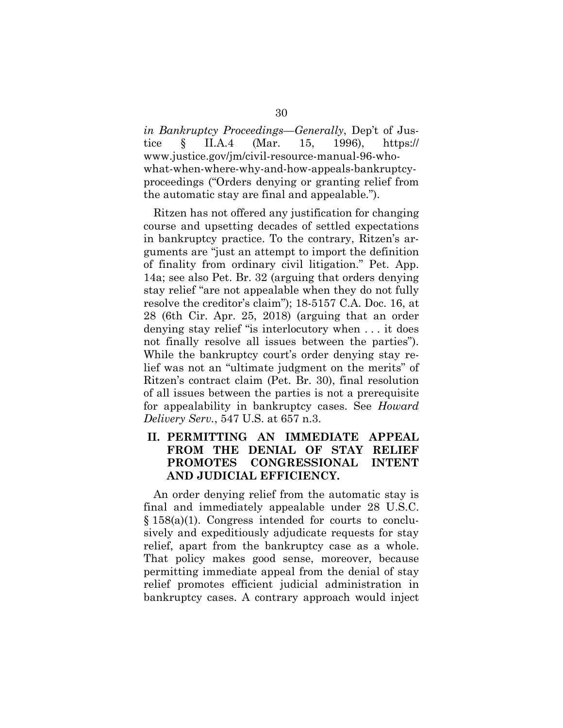*in Bankruptcy Proceedings—Generally*, Dep't of Justice § II.A.4 (Mar. 15, 1996), https:// www.justice.gov/jm/civil-resource-manual-96-whowhat-when-where-why-and-how-appeals-bankruptcyproceedings ("Orders denying or granting relief from the automatic stay are final and appealable.").

Ritzen has not offered any justification for changing course and upsetting decades of settled expectations in bankruptcy practice. To the contrary, Ritzen's arguments are "just an attempt to import the definition of finality from ordinary civil litigation." Pet. App. 14a; see also Pet. Br. 32 (arguing that orders denying stay relief "are not appealable when they do not fully resolve the creditor's claim"); 18-5157 C.A. Doc. 16, at 28 (6th Cir. Apr. 25, 2018) (arguing that an order denying stay relief "is interlocutory when . . . it does not finally resolve all issues between the parties"). While the bankruptcy court's order denying stay relief was not an "ultimate judgment on the merits" of Ritzen's contract claim (Pet. Br. 30), final resolution of all issues between the parties is not a prerequisite for appealability in bankruptcy cases. See *Howard Delivery Serv.*, 547 U.S. at 657 n.3.

# **II. PERMITTING AN IMMEDIATE APPEAL FROM THE DENIAL OF STAY RELIEF PROMOTES CONGRESSIONAL INTENT AND JUDICIAL EFFICIENCY.**

An order denying relief from the automatic stay is final and immediately appealable under 28 U.S.C. § 158(a)(1). Congress intended for courts to conclusively and expeditiously adjudicate requests for stay relief, apart from the bankruptcy case as a whole. That policy makes good sense, moreover, because permitting immediate appeal from the denial of stay relief promotes efficient judicial administration in bankruptcy cases. A contrary approach would inject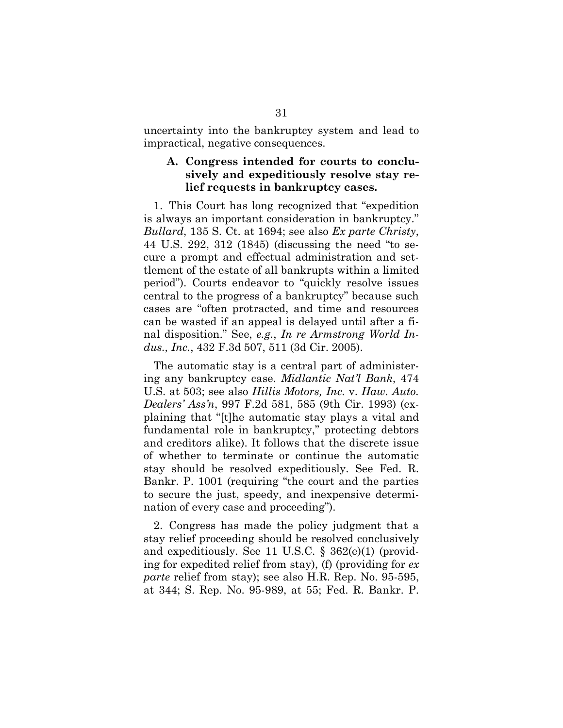uncertainty into the bankruptcy system and lead to impractical, negative consequences.

## **A. Congress intended for courts to conclusively and expeditiously resolve stay relief requests in bankruptcy cases.**

1. This Court has long recognized that "expedition is always an important consideration in bankruptcy." *Bullard*, 135 S. Ct. at 1694; see also *Ex parte Christy*, 44 U.S. 292, 312 (1845) (discussing the need "to secure a prompt and effectual administration and settlement of the estate of all bankrupts within a limited period"). Courts endeavor to "quickly resolve issues central to the progress of a bankruptcy" because such cases are "often protracted, and time and resources can be wasted if an appeal is delayed until after a final disposition." See, *e.g.*, *In re Armstrong World Indus., Inc.*, 432 F.3d 507, 511 (3d Cir. 2005).

The automatic stay is a central part of administering any bankruptcy case. *Midlantic Nat'l Bank*, 474 U.S. at 503; see also *Hillis Motors, Inc.* v. *Haw. Auto. Dealers' Ass'n*, 997 F.2d 581, 585 (9th Cir. 1993) (explaining that "[t]he automatic stay plays a vital and fundamental role in bankruptcy," protecting debtors and creditors alike). It follows that the discrete issue of whether to terminate or continue the automatic stay should be resolved expeditiously. See Fed. R. Bankr. P. 1001 (requiring "the court and the parties to secure the just, speedy, and inexpensive determination of every case and proceeding").

2. Congress has made the policy judgment that a stay relief proceeding should be resolved conclusively and expeditiously. See 11 U.S.C. § 362(e)(1) (providing for expedited relief from stay), (f) (providing for *ex parte* relief from stay); see also H.R. Rep. No. 95-595, at 344; S. Rep. No. 95-989, at 55; Fed. R. Bankr. P.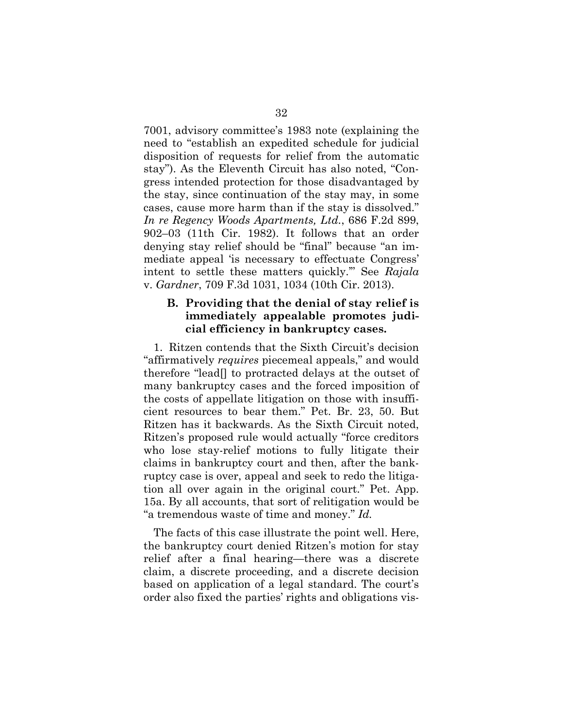7001, advisory committee's 1983 note (explaining the need to "establish an expedited schedule for judicial disposition of requests for relief from the automatic stay"). As the Eleventh Circuit has also noted, "Congress intended protection for those disadvantaged by the stay, since continuation of the stay may, in some cases, cause more harm than if the stay is dissolved." *In re Regency Woods Apartments, Ltd.*, 686 F.2d 899, 902–03 (11th Cir. 1982). It follows that an order denying stay relief should be "final" because "an immediate appeal 'is necessary to effectuate Congress' intent to settle these matters quickly.'" See *Rajala* v. *Gardner*, 709 F.3d 1031, 1034 (10th Cir. 2013).

## **B. Providing that the denial of stay relief is immediately appealable promotes judicial efficiency in bankruptcy cases.**

1. Ritzen contends that the Sixth Circuit's decision "affirmatively *requires* piecemeal appeals," and would therefore "lead[] to protracted delays at the outset of many bankruptcy cases and the forced imposition of the costs of appellate litigation on those with insufficient resources to bear them." Pet. Br. 23, 50. But Ritzen has it backwards. As the Sixth Circuit noted, Ritzen's proposed rule would actually "force creditors who lose stay-relief motions to fully litigate their claims in bankruptcy court and then, after the bankruptcy case is over, appeal and seek to redo the litigation all over again in the original court." Pet. App. 15a. By all accounts, that sort of relitigation would be "a tremendous waste of time and money." *Id.*

The facts of this case illustrate the point well. Here, the bankruptcy court denied Ritzen's motion for stay relief after a final hearing—there was a discrete claim, a discrete proceeding, and a discrete decision based on application of a legal standard. The court's order also fixed the parties' rights and obligations vis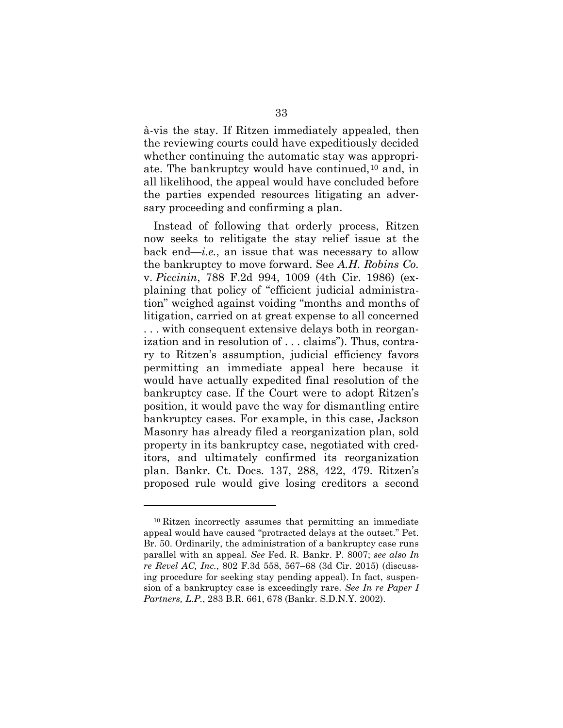à-vis the stay. If Ritzen immediately appealed, then the reviewing courts could have expeditiously decided whether continuing the automatic stay was appropriate. The bankruptcy would have continued,10 and, in all likelihood, the appeal would have concluded before the parties expended resources litigating an adversary proceeding and confirming a plan.

Instead of following that orderly process, Ritzen now seeks to relitigate the stay relief issue at the back end—*i.e.*, an issue that was necessary to allow the bankruptcy to move forward. See *A.H. Robins Co.* v. *Piccinin*, 788 F.2d 994, 1009 (4th Cir. 1986) (explaining that policy of "efficient judicial administration" weighed against voiding "months and months of litigation, carried on at great expense to all concerned . . . with consequent extensive delays both in reorganization and in resolution of . . . claims"). Thus, contrary to Ritzen's assumption, judicial efficiency favors permitting an immediate appeal here because it would have actually expedited final resolution of the bankruptcy case. If the Court were to adopt Ritzen's position, it would pave the way for dismantling entire bankruptcy cases. For example, in this case, Jackson Masonry has already filed a reorganization plan, sold property in its bankruptcy case, negotiated with creditors, and ultimately confirmed its reorganization plan. Bankr. Ct. Docs. 137, 288, 422, 479. Ritzen's proposed rule would give losing creditors a second

 $\overline{a}$ 

<sup>10</sup> Ritzen incorrectly assumes that permitting an immediate appeal would have caused "protracted delays at the outset." Pet. Br. 50. Ordinarily, the administration of a bankruptcy case runs parallel with an appeal. *See* Fed. R. Bankr. P. 8007; *see also In re Revel AC, Inc.*, 802 F.3d 558, 567–68 (3d Cir. 2015) (discussing procedure for seeking stay pending appeal). In fact, suspension of a bankruptcy case is exceedingly rare. *See In re Paper I Partners, L.P.*, 283 B.R. 661, 678 (Bankr. S.D.N.Y. 2002).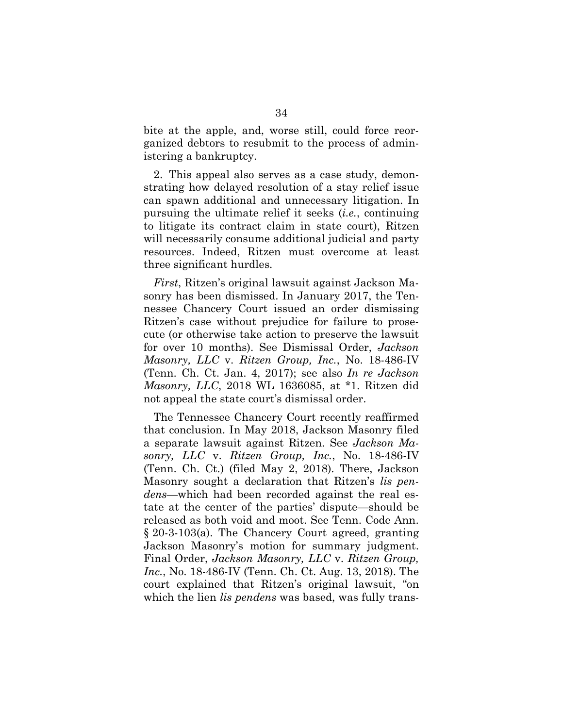bite at the apple, and, worse still, could force reorganized debtors to resubmit to the process of administering a bankruptcy.

2. This appeal also serves as a case study, demonstrating how delayed resolution of a stay relief issue can spawn additional and unnecessary litigation. In pursuing the ultimate relief it seeks (*i.e.*, continuing to litigate its contract claim in state court), Ritzen will necessarily consume additional judicial and party resources. Indeed, Ritzen must overcome at least three significant hurdles.

*First*, Ritzen's original lawsuit against Jackson Masonry has been dismissed. In January 2017, the Tennessee Chancery Court issued an order dismissing Ritzen's case without prejudice for failure to prosecute (or otherwise take action to preserve the lawsuit for over 10 months). See Dismissal Order, *Jackson Masonry, LLC* v. *Ritzen Group, Inc.*, No. 18-486-IV (Tenn. Ch. Ct. Jan. 4, 2017); see also *In re Jackson Masonry, LLC*, 2018 WL 1636085, at \*1. Ritzen did not appeal the state court's dismissal order.

The Tennessee Chancery Court recently reaffirmed that conclusion. In May 2018, Jackson Masonry filed a separate lawsuit against Ritzen. See *Jackson Masonry, LLC* v. *Ritzen Group, Inc.*, No. 18-486-IV (Tenn. Ch. Ct.) (filed May 2, 2018). There, Jackson Masonry sought a declaration that Ritzen's *lis pendens*—which had been recorded against the real estate at the center of the parties' dispute—should be released as both void and moot. See Tenn. Code Ann. § 20-3-103(a). The Chancery Court agreed, granting Jackson Masonry's motion for summary judgment. Final Order, *Jackson Masonry, LLC* v. *Ritzen Group, Inc.*, No. 18-486-IV (Tenn. Ch. Ct. Aug. 13, 2018). The court explained that Ritzen's original lawsuit, "on which the lien *lis pendens* was based, was fully trans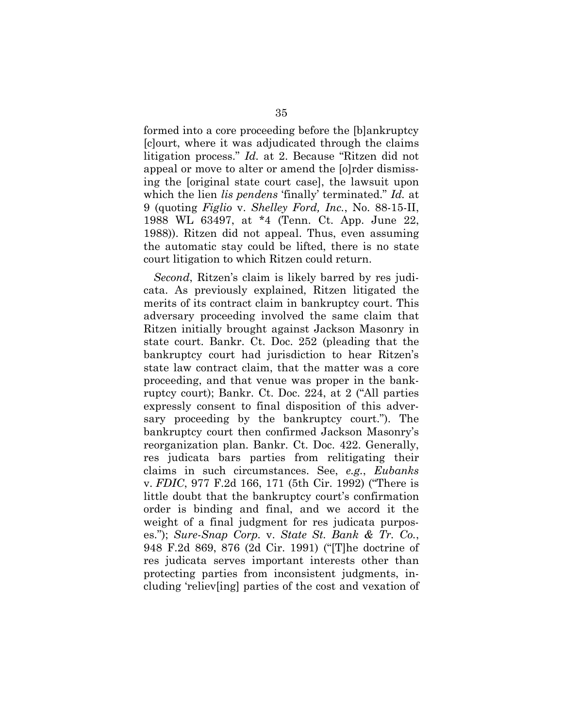formed into a core proceeding before the [b]ankruptcy [c]ourt, where it was adjudicated through the claims litigation process." *Id.* at 2. Because "Ritzen did not appeal or move to alter or amend the [o]rder dismissing the [original state court case], the lawsuit upon which the lien *lis pendens* 'finally' terminated." *Id.* at 9 (quoting *Figlio* v. *Shelley Ford, Inc.*, No. 88-15-II, 1988 WL 63497, at \*4 (Tenn. Ct. App. June 22, 1988)). Ritzen did not appeal. Thus, even assuming the automatic stay could be lifted, there is no state court litigation to which Ritzen could return.

*Second*, Ritzen's claim is likely barred by res judicata. As previously explained, Ritzen litigated the merits of its contract claim in bankruptcy court. This adversary proceeding involved the same claim that Ritzen initially brought against Jackson Masonry in state court. Bankr. Ct. Doc. 252 (pleading that the bankruptcy court had jurisdiction to hear Ritzen's state law contract claim, that the matter was a core proceeding, and that venue was proper in the bankruptcy court); Bankr. Ct. Doc. 224, at 2 ("All parties expressly consent to final disposition of this adversary proceeding by the bankruptcy court."). The bankruptcy court then confirmed Jackson Masonry's reorganization plan. Bankr. Ct. Doc. 422. Generally, res judicata bars parties from relitigating their claims in such circumstances. See, *e.g.*, *Eubanks* v. *FDIC*, 977 F.2d 166, 171 (5th Cir. 1992) ("There is little doubt that the bankruptcy court's confirmation order is binding and final, and we accord it the weight of a final judgment for res judicata purposes."); *Sure-Snap Corp.* v. *State St. Bank & Tr. Co.*, 948 F.2d 869, 876 (2d Cir. 1991) ("[T]he doctrine of res judicata serves important interests other than protecting parties from inconsistent judgments, including 'reliev[ing] parties of the cost and vexation of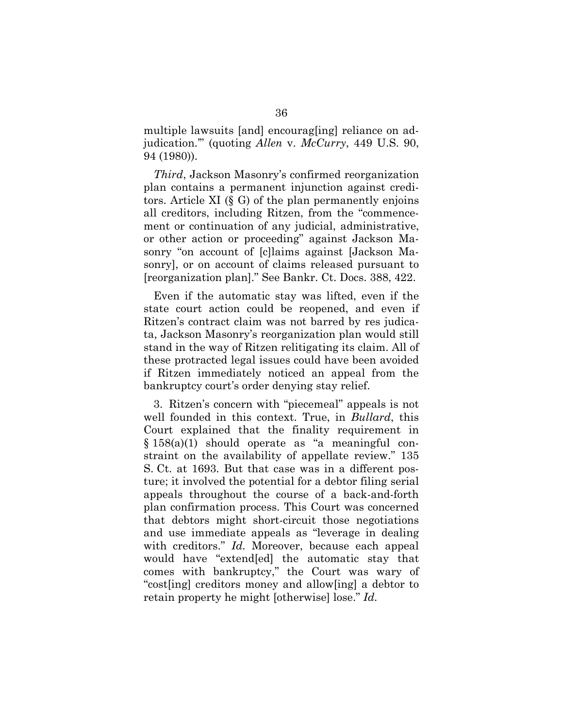multiple lawsuits [and] encourag[ing] reliance on adjudication.'" (quoting *Allen* v. *McCurry*, 449 U.S. 90, 94 (1980)).

*Third*, Jackson Masonry's confirmed reorganization plan contains a permanent injunction against creditors. Article XI (§ G) of the plan permanently enjoins all creditors, including Ritzen, from the "commencement or continuation of any judicial, administrative, or other action or proceeding" against Jackson Masonry "on account of [c]laims against [Jackson Masonry], or on account of claims released pursuant to [reorganization plan]." See Bankr. Ct. Docs. 388, 422.

Even if the automatic stay was lifted, even if the state court action could be reopened, and even if Ritzen's contract claim was not barred by res judicata, Jackson Masonry's reorganization plan would still stand in the way of Ritzen relitigating its claim. All of these protracted legal issues could have been avoided if Ritzen immediately noticed an appeal from the bankruptcy court's order denying stay relief.

3. Ritzen's concern with "piecemeal" appeals is not well founded in this context. True, in *Bullard*, this Court explained that the finality requirement in § 158(a)(1) should operate as "a meaningful constraint on the availability of appellate review." 135 S. Ct. at 1693. But that case was in a different posture; it involved the potential for a debtor filing serial appeals throughout the course of a back-and-forth plan confirmation process. This Court was concerned that debtors might short-circuit those negotiations and use immediate appeals as "leverage in dealing with creditors." *Id.* Moreover, because each appeal would have "extend[ed] the automatic stay that comes with bankruptcy," the Court was wary of "cost[ing] creditors money and allow[ing] a debtor to retain property he might [otherwise] lose." *Id.*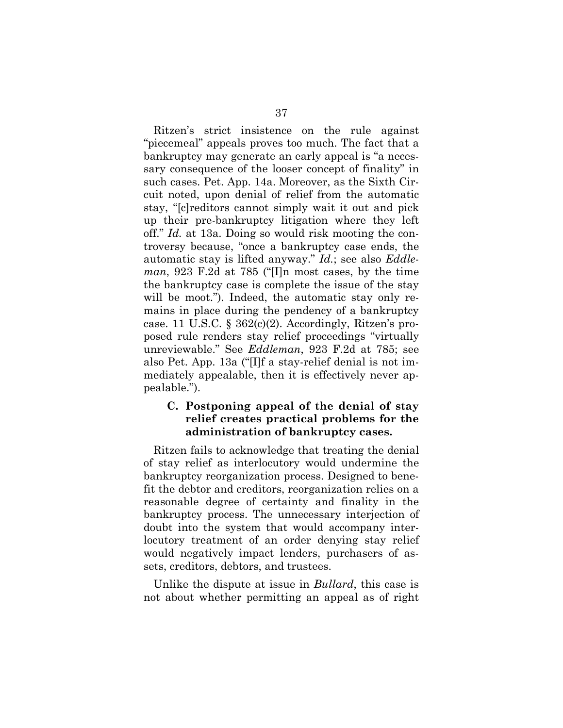Ritzen's strict insistence on the rule against "piecemeal" appeals proves too much. The fact that a bankruptcy may generate an early appeal is "a necessary consequence of the looser concept of finality" in such cases. Pet. App. 14a. Moreover, as the Sixth Circuit noted, upon denial of relief from the automatic stay, "[c]reditors cannot simply wait it out and pick up their pre-bankruptcy litigation where they left off." *Id.* at 13a. Doing so would risk mooting the controversy because, "once a bankruptcy case ends, the automatic stay is lifted anyway." *Id.*; see also *Eddleman*, 923 F.2d at 785 ("[I]n most cases, by the time the bankruptcy case is complete the issue of the stay will be moot."). Indeed, the automatic stay only remains in place during the pendency of a bankruptcy case. 11 U.S.C.  $\S 362(c)(2)$ . Accordingly, Ritzen's proposed rule renders stay relief proceedings "virtually unreviewable." See *Eddleman*, 923 F.2d at 785; see also Pet. App. 13a ("[I]f a stay-relief denial is not immediately appealable, then it is effectively never appealable.").

## **C. Postponing appeal of the denial of stay relief creates practical problems for the administration of bankruptcy cases.**

Ritzen fails to acknowledge that treating the denial of stay relief as interlocutory would undermine the bankruptcy reorganization process. Designed to benefit the debtor and creditors, reorganization relies on a reasonable degree of certainty and finality in the bankruptcy process. The unnecessary interjection of doubt into the system that would accompany interlocutory treatment of an order denying stay relief would negatively impact lenders, purchasers of assets, creditors, debtors, and trustees.

Unlike the dispute at issue in *Bullard*, this case is not about whether permitting an appeal as of right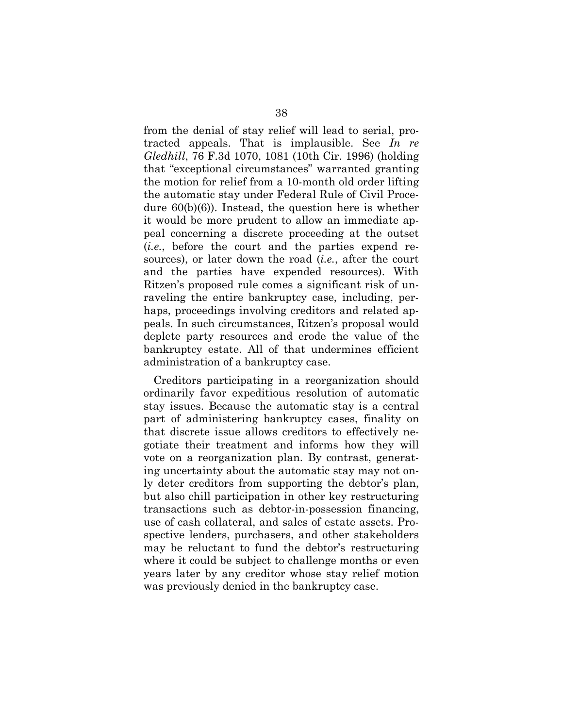from the denial of stay relief will lead to serial, protracted appeals. That is implausible. See *In re Gledhill*, 76 F.3d 1070, 1081 (10th Cir. 1996) (holding that "exceptional circumstances" warranted granting the motion for relief from a 10-month old order lifting the automatic stay under Federal Rule of Civil Procedure 60(b)(6)). Instead, the question here is whether it would be more prudent to allow an immediate appeal concerning a discrete proceeding at the outset (*i.e.*, before the court and the parties expend resources), or later down the road (*i.e.*, after the court and the parties have expended resources). With Ritzen's proposed rule comes a significant risk of unraveling the entire bankruptcy case, including, perhaps, proceedings involving creditors and related appeals. In such circumstances, Ritzen's proposal would deplete party resources and erode the value of the bankruptcy estate. All of that undermines efficient administration of a bankruptcy case.

Creditors participating in a reorganization should ordinarily favor expeditious resolution of automatic stay issues. Because the automatic stay is a central part of administering bankruptcy cases, finality on that discrete issue allows creditors to effectively negotiate their treatment and informs how they will vote on a reorganization plan. By contrast, generating uncertainty about the automatic stay may not only deter creditors from supporting the debtor's plan, but also chill participation in other key restructuring transactions such as debtor-in-possession financing, use of cash collateral, and sales of estate assets. Prospective lenders, purchasers, and other stakeholders may be reluctant to fund the debtor's restructuring where it could be subject to challenge months or even years later by any creditor whose stay relief motion was previously denied in the bankruptcy case.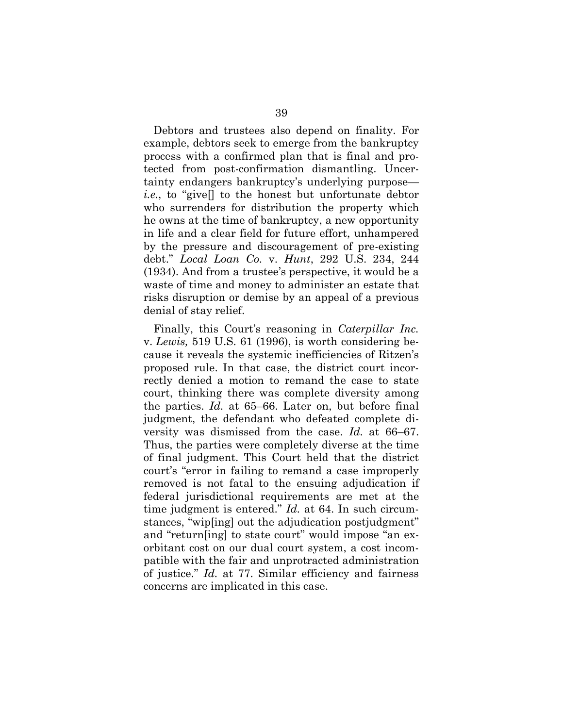Debtors and trustees also depend on finality. For example, debtors seek to emerge from the bankruptcy process with a confirmed plan that is final and protected from post-confirmation dismantling. Uncertainty endangers bankruptcy's underlying purpose *i.e.*, to "give[] to the honest but unfortunate debtor who surrenders for distribution the property which he owns at the time of bankruptcy, a new opportunity in life and a clear field for future effort, unhampered by the pressure and discouragement of pre-existing debt." *Local Loan Co.* v. *Hunt*, 292 U.S. 234, 244 (1934). And from a trustee's perspective, it would be a waste of time and money to administer an estate that risks disruption or demise by an appeal of a previous denial of stay relief.

Finally, this Court's reasoning in *Caterpillar Inc.*  v. *Lewis,* 519 U.S. 61 (1996), is worth considering because it reveals the systemic inefficiencies of Ritzen's proposed rule. In that case, the district court incorrectly denied a motion to remand the case to state court, thinking there was complete diversity among the parties. *Id.* at 65–66. Later on, but before final judgment, the defendant who defeated complete diversity was dismissed from the case. *Id.* at 66–67. Thus, the parties were completely diverse at the time of final judgment. This Court held that the district court's "error in failing to remand a case improperly removed is not fatal to the ensuing adjudication if federal jurisdictional requirements are met at the time judgment is entered." *Id.* at 64. In such circumstances, "wip[ing] out the adjudication postjudgment" and "return[ing] to state court" would impose "an exorbitant cost on our dual court system, a cost incompatible with the fair and unprotracted administration of justice." *Id.* at 77. Similar efficiency and fairness concerns are implicated in this case.